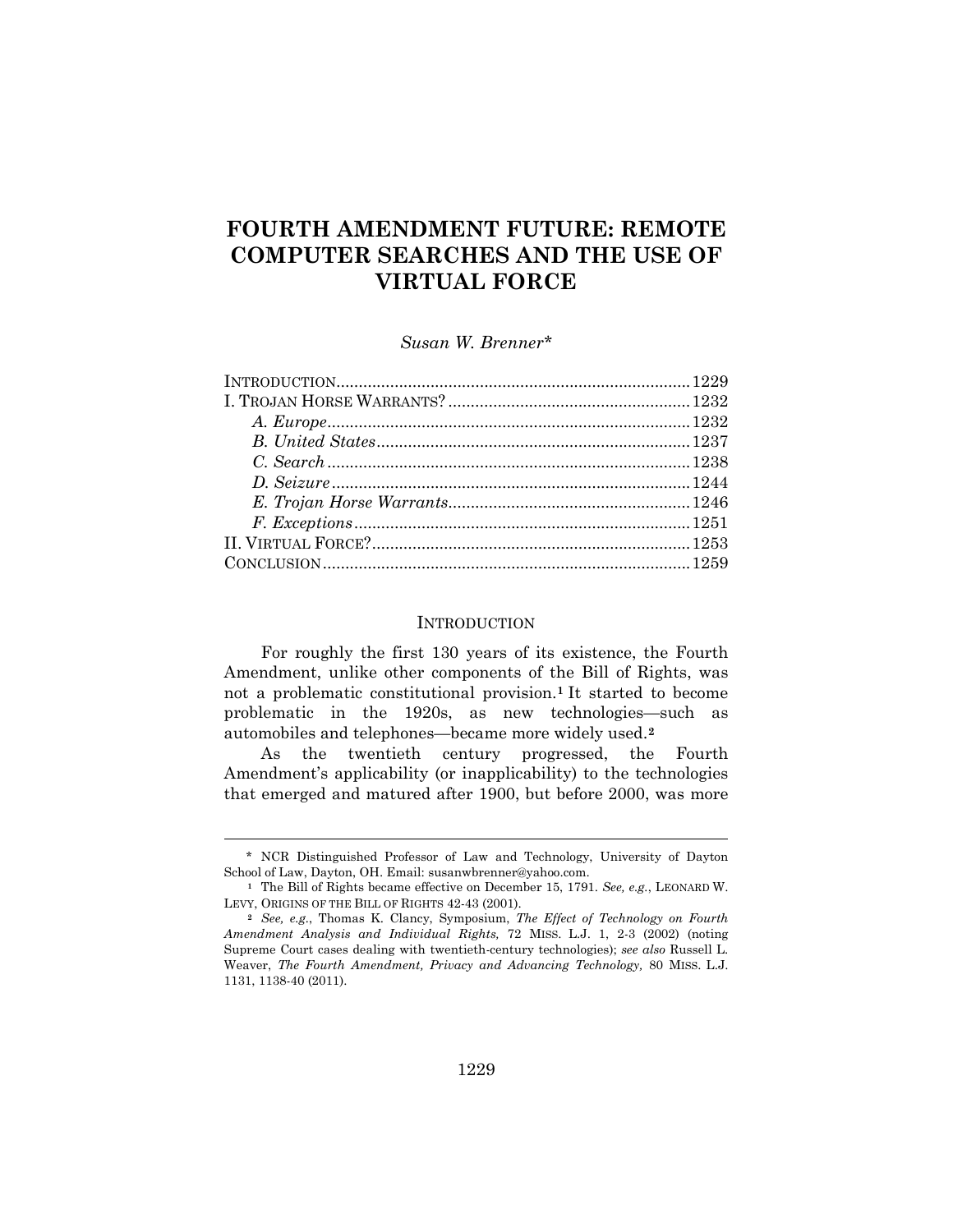# **FOURTH AMENDMENT FUTURE: REMOTE COMPUTER SEARCHES AND THE USE OF VIRTUAL FORCE**

*Susan W. Brenner\**

#### **INTRODUCTION**

For roughly the first 130 years of its existence, the Fourth Amendment, unlike other components of the Bill of Rights, was not a problematic constitutional provision.**[1](#page-0-0)** It started to become problematic in the 1920s, as new technologies—such as automobiles and telephones—became more widely used.**[2](#page-0-1)**

As the twentieth century progressed, the Fourth Amendment's applicability (or inapplicability) to the technologies that emerged and matured after 1900, but before 2000, was more

<span id="page-0-0"></span><sup>\*</sup> NCR Distinguished Professor of Law and Technology, University of Dayton School of Law, Dayton, OH. Email: susanwbrenner@yahoo.com.

**<sup>1</sup>** The Bill of Rights became effective on December 15, 1791. *See, e.g.*, LEONARD W. LEVY, ORIGINS OF THE BILL OF RIGHTS 42-43 (2001).

<span id="page-0-1"></span>**<sup>2</sup>** *See, e.g.*, Thomas K. Clancy, Symposium, *The Effect of Technology on Fourth Amendment Analysis and Individual Rights,* 72 MISS. L.J. 1, 2-3 (2002) (noting Supreme Court cases dealing with twentieth-century technologies); *see also* Russell L. Weaver, *The Fourth Amendment, Privacy and Advancing Technology,* 80 MISS. L.J. 1131, 1138-40 (2011).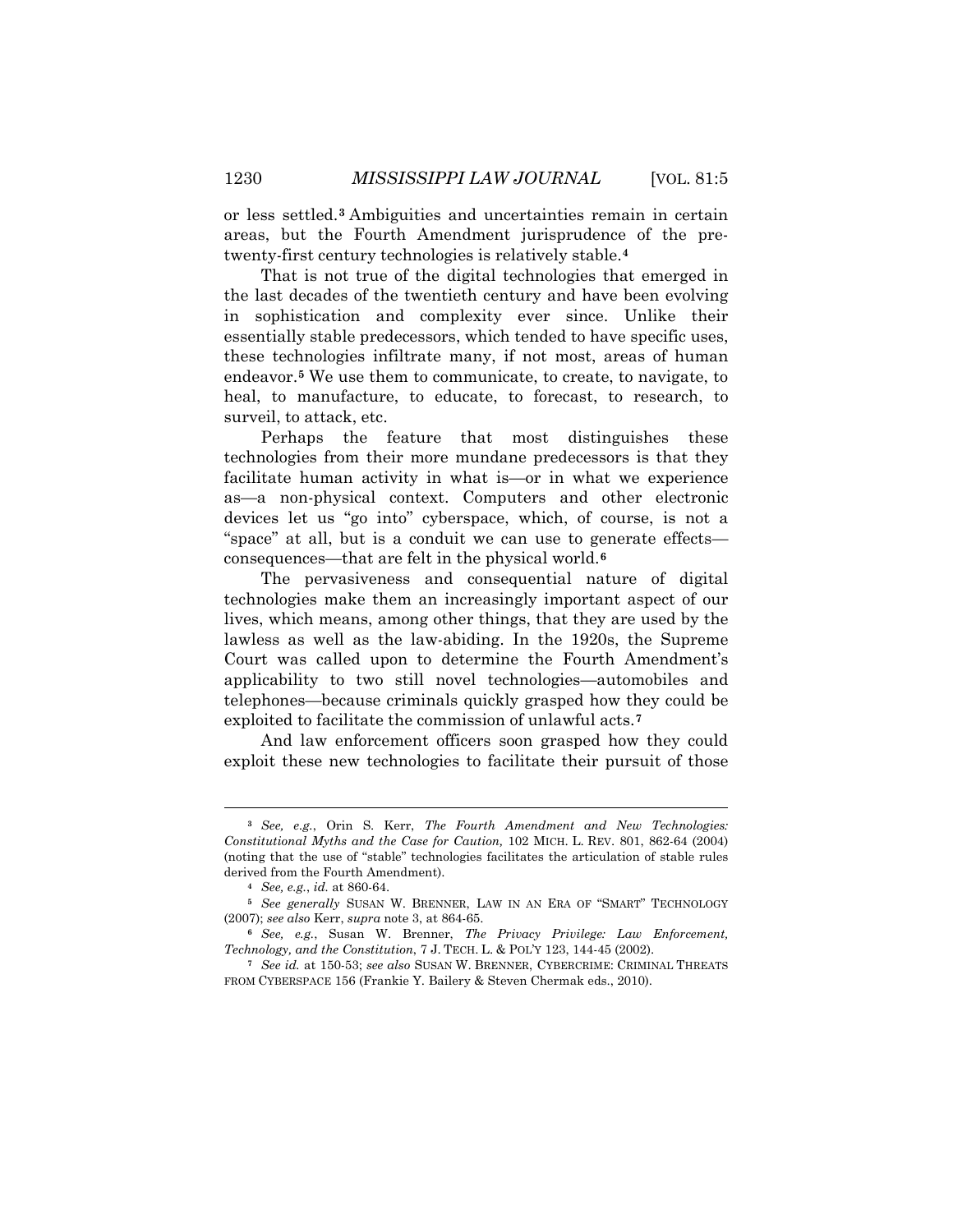or less settled.**[3](#page-1-0)** Ambiguities and uncertainties remain in certain areas, but the Fourth Amendment jurisprudence of the pretwenty-first century technologies is relatively stable.**[4](#page-1-1)**

That is not true of the digital technologies that emerged in the last decades of the twentieth century and have been evolving in sophistication and complexity ever since. Unlike their essentially stable predecessors, which tended to have specific uses, these technologies infiltrate many, if not most, areas of human endeavor.**[5](#page-1-2)** We use them to communicate, to create, to navigate, to heal, to manufacture, to educate, to forecast, to research, to surveil, to attack, etc.

Perhaps the feature that most distinguishes these technologies from their more mundane predecessors is that they facilitate human activity in what is—or in what we experience as—a non-physical context. Computers and other electronic devices let us "go into" cyberspace, which, of course, is not a "space" at all, but is a conduit we can use to generate effects consequences—that are felt in the physical world. **[6](#page-1-3)**

The pervasiveness and consequential nature of digital technologies make them an increasingly important aspect of our lives, which means, among other things, that they are used by the lawless as well as the law-abiding. In the 1920s, the Supreme Court was called upon to determine the Fourth Amendment's applicability to two still novel technologies—automobiles and telephones—because criminals quickly grasped how they could be exploited to facilitate the commission of unlawful acts.**[7](#page-1-4)**

And law enforcement officers soon grasped how they could exploit these new technologies to facilitate their pursuit of those

<span id="page-1-0"></span>**<sup>3</sup>** *See, e.g.*, Orin S. Kerr, *The Fourth Amendment and New Technologies: Constitutional Myths and the Case for Caution,* 102 MICH. L. REV. 801, 862-64 (2004) (noting that the use of "stable" technologies facilitates the articulation of stable rules derived from the Fourth Amendment).

**<sup>4</sup>** *See, e.g.*, *id.* at 860-64.

<span id="page-1-2"></span><span id="page-1-1"></span>**<sup>5</sup>** *See generally* SUSAN W. BRENNER, LAW IN AN ERA OF "SMART" TECHNOLOGY (2007); *see also* Kerr, *supra* note 3, at 864-65.

<span id="page-1-3"></span>**<sup>6</sup>** *See, e.g.*, Susan W. Brenner, *The Privacy Privilege: Law Enforcement, Technology, and the Constitution*, 7 J. TECH. L. & POL'Y 123, 144-45 (2002).

<span id="page-1-4"></span>**<sup>7</sup>** *See id.* at 150-53; *see also* SUSAN W. BRENNER, CYBERCRIME: CRIMINAL THREATS FROM CYBERSPACE 156 (Frankie Y. Bailery & Steven Chermak eds., 2010).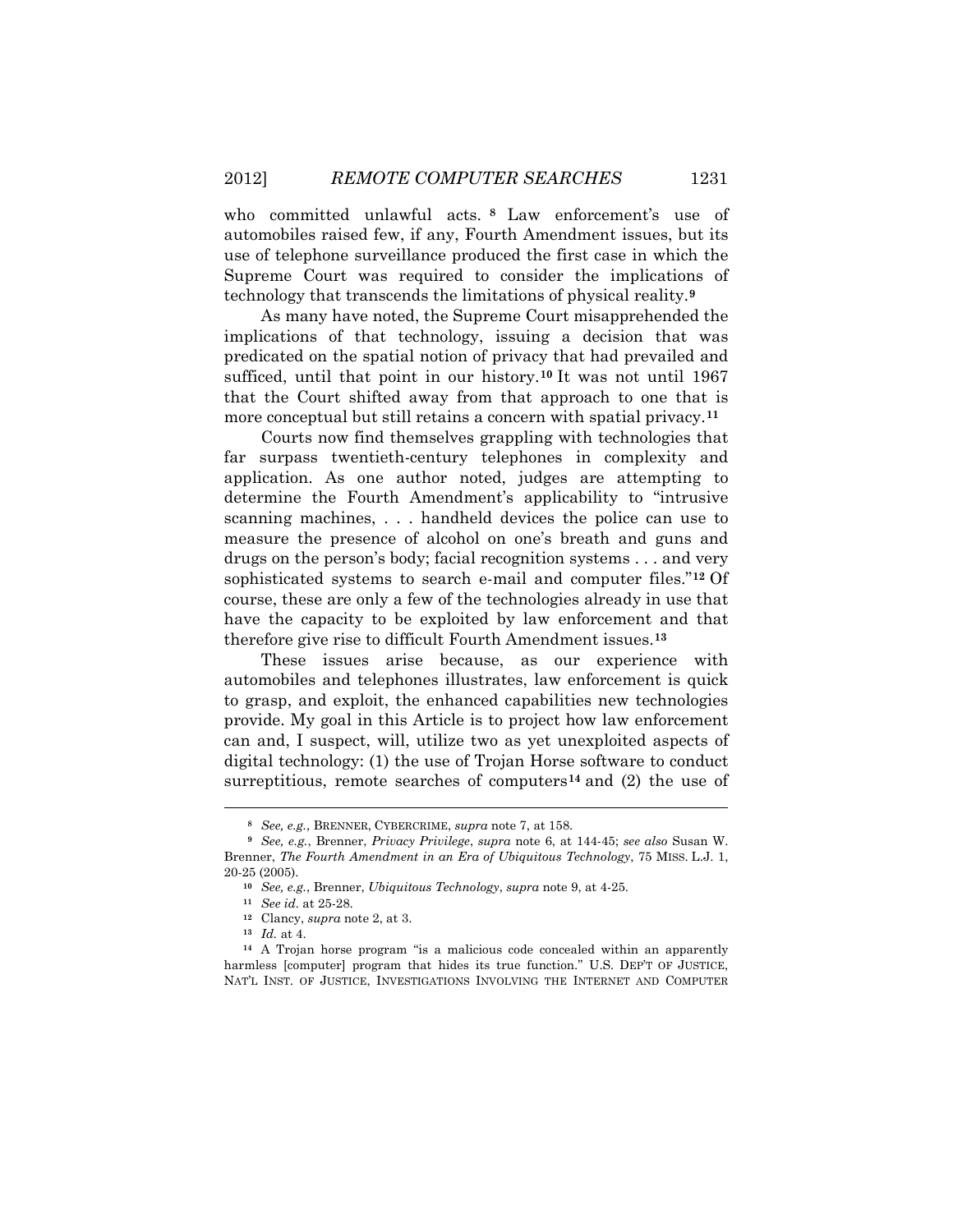who committed unlawful acts. **[8](#page-2-0)** Law enforcement's use of automobiles raised few, if any, Fourth Amendment issues, but its use of telephone surveillance produced the first case in which the Supreme Court was required to consider the implications of technology that transcends the limitations of physical reality.**[9](#page-2-1)**

As many have noted, the Supreme Court misapprehended the implications of that technology, issuing a decision that was predicated on the spatial notion of privacy that had prevailed and sufficed, until that point in our history.**[10](#page-2-2)** It was not until 1967 that the Court shifted away from that approach to one that is more conceptual but still retains a concern with spatial privacy.**[11](#page-2-3)**

Courts now find themselves grappling with technologies that far surpass twentieth-century telephones in complexity and application. As one author noted, judges are attempting to determine the Fourth Amendment's applicability to "intrusive scanning machines, . . . handheld devices the police can use to measure the presence of alcohol on one's breath and guns and drugs on the person's body; facial recognition systems . . . and very sophisticated systems to search e-mail and computer files."**[12](#page-2-4)** Of course, these are only a few of the technologies already in use that have the capacity to be exploited by law enforcement and that therefore give rise to difficult Fourth Amendment issues.**[13](#page-2-5)**

These issues arise because, as our experience with automobiles and telephones illustrates, law enforcement is quick to grasp, and exploit, the enhanced capabilities new technologies provide. My goal in this Article is to project how law enforcement can and, I suspect, will, utilize two as yet unexploited aspects of digital technology: (1) the use of Trojan Horse software to conduct surreptitious, remote searches of computers**[14](#page-2-6)** and (2) the use of

**<sup>8</sup>** *See, e.g.*, BRENNER, CYBERCRIME, *supra* note 7, at 158.

<span id="page-2-2"></span><span id="page-2-1"></span><span id="page-2-0"></span>**<sup>9</sup>** *See, e.g.*, Brenner, *Privacy Privilege*, *supra* note 6, at 144-45; *see also* Susan W. Brenner, *The Fourth Amendment in an Era of Ubiquitous Technology*, 75 MISS. L.J. 1, 20-25 (2005).

**<sup>10</sup>** *See, e.g.*, Brenner, *Ubiquitous Technology*, *supra* note 9, at 4-25.

**<sup>11</sup>** *See id.* at 25-28.

**<sup>12</sup>** Clancy, *supra* note 2, at 3.

**<sup>13</sup>** *Id.* at 4.

<span id="page-2-6"></span><span id="page-2-5"></span><span id="page-2-4"></span><span id="page-2-3"></span>**<sup>14</sup>** A Trojan horse program "is a malicious code concealed within an apparently harmless [computer] program that hides its true function." U.S. DEP'T OF JUSTICE, NAT'L INST. OF JUSTICE, INVESTIGATIONS INVOLVING THE INTERNET AND COMPUTER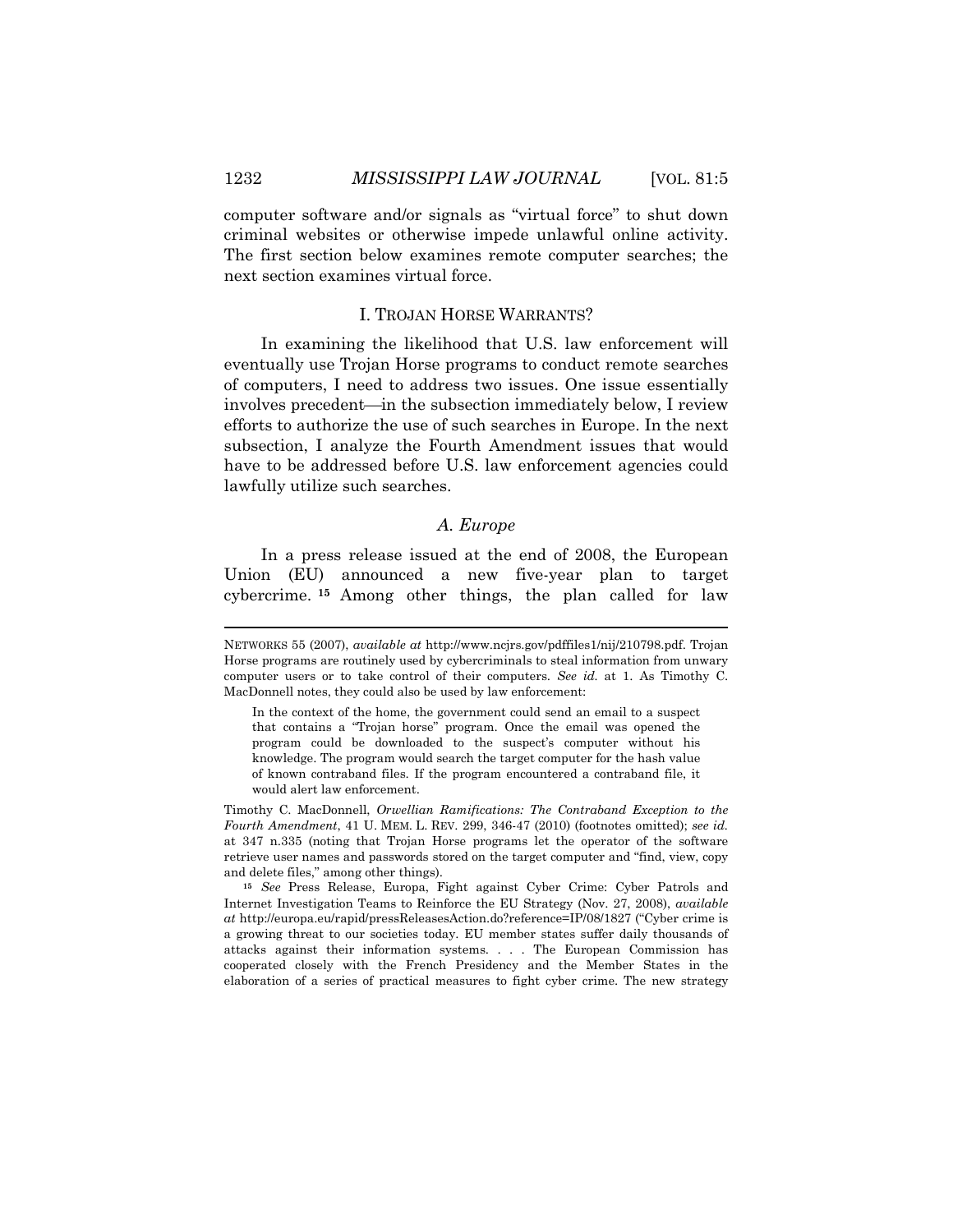computer software and/or signals as "virtual force" to shut down criminal websites or otherwise impede unlawful online activity. The first section below examines remote computer searches; the next section examines virtual force.

#### I. TROJAN HORSE WARRANTS?

In examining the likelihood that U.S. law enforcement will eventually use Trojan Horse programs to conduct remote searches of computers, I need to address two issues. One issue essentially involves precedent—in the subsection immediately below, I review efforts to authorize the use of such searches in Europe. In the next subsection, I analyze the Fourth Amendment issues that would have to be addressed before U.S. law enforcement agencies could lawfully utilize such searches.

## *A. Europe*

In a press release issued at the end of 2008, the European Union (EU) announced a new five-year plan to target cybercrime. **[15](#page-3-0)** Among other things, the plan called for law

Timothy C. MacDonnell, *Orwellian Ramifications: The Contraband Exception to the Fourth Amendment*, 41 U. MEM. L. REV. 299, 346-47 (2010) (footnotes omitted); *see id.* at 347 n.335 (noting that Trojan Horse programs let the operator of the software retrieve user names and passwords stored on the target computer and "find, view, copy and delete files," among other things).

<span id="page-3-0"></span>**<sup>15</sup>** *See* Press Release, Europa, Fight against Cyber Crime: Cyber Patrols and Internet Investigation Teams to Reinforce the EU Strategy (Nov. 27, 2008), *available at* http://europa.eu/rapid/pressReleasesAction.do?reference=IP/08/1827 ("Cyber crime is a growing threat to our societies today. EU member states suffer daily thousands of attacks against their information systems. . . . The European Commission has cooperated closely with the French Presidency and the Member States in the elaboration of a series of practical measures to fight cyber crime. The new strategy

NETWORKS 55 (2007), *available at* http://www.ncjrs.gov/pdffiles1/nij/210798.pdf. Trojan Horse programs are routinely used by cybercriminals to steal information from unwary computer users or to take control of their computers. *See id.* at 1. As Timothy C. MacDonnell notes, they could also be used by law enforcement:

In the context of the home, the government could send an email to a suspect that contains a "Trojan horse" program. Once the email was opened the program could be downloaded to the suspect's computer without his knowledge. The program would search the target computer for the hash value of known contraband files. If the program encountered a contraband file, it would alert law enforcement.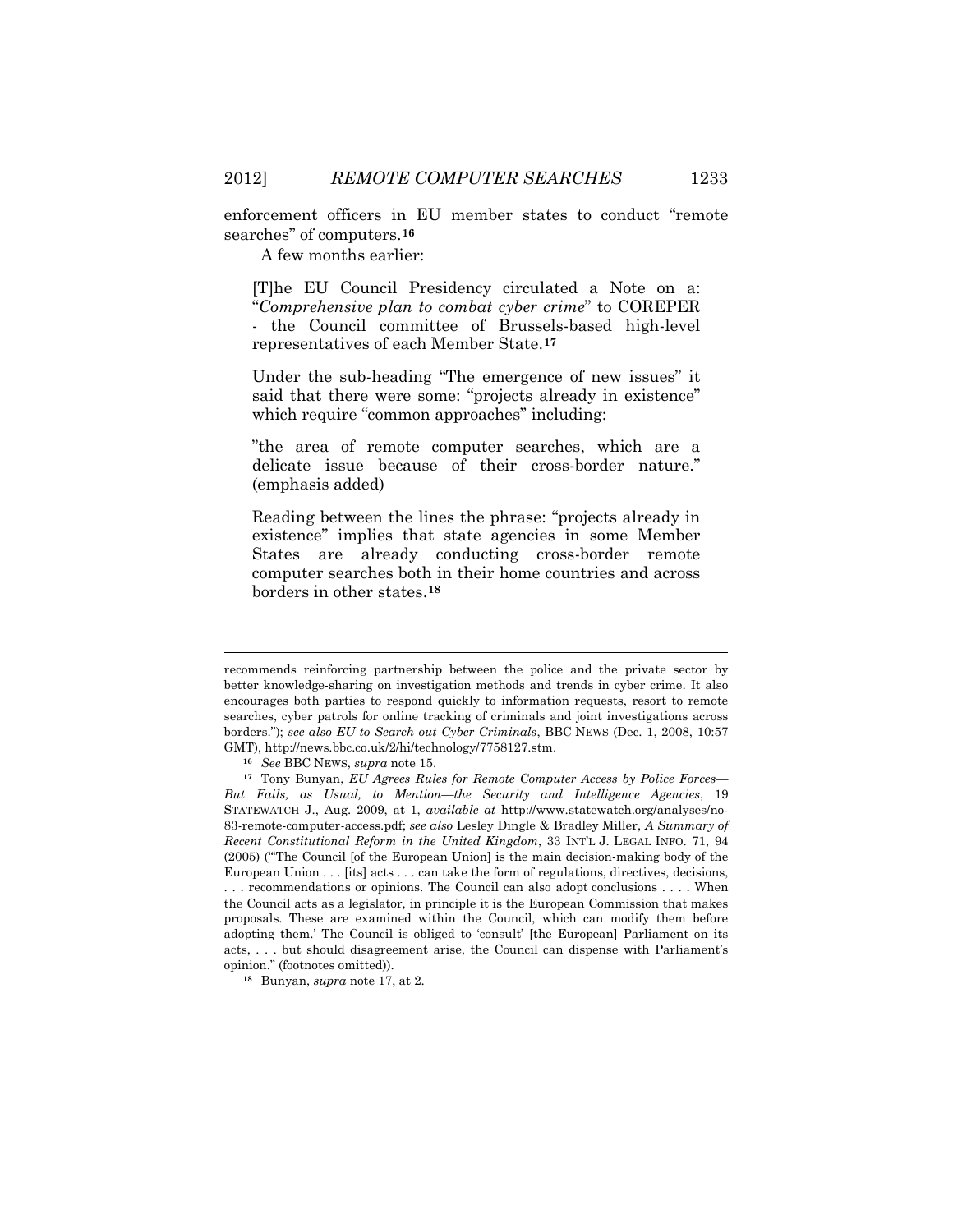enforcement officers in EU member states to conduct "remote searches" of computers.**[16](#page-4-0)**

A few months earlier:

[T]he EU Council Presidency circulated a Note on a: "*Comprehensive plan to combat cyber crime*" to COREPER

- the Council committee of Brussels-based high-level representatives of each Member State.**[17](#page-4-1)**

Under the sub-heading "The emergence of new issues" it said that there were some: "projects already in existence" which require "common approaches" including:

"the area of remote computer searches, which are a delicate issue because of their cross-border nature." (emphasis added)

Reading between the lines the phrase: "projects already in existence" implies that state agencies in some Member States are already conducting cross-border remote computer searches both in their home countries and across borders in other states.**[18](#page-4-2)**

recommends reinforcing partnership between the police and the private sector by better knowledge-sharing on investigation methods and trends in cyber crime. It also encourages both parties to respond quickly to information requests, resort to remote searches, cyber patrols for online tracking of criminals and joint investigations across borders."); *see also EU to Search out Cyber Criminals*, BBC NEWS (Dec. 1, 2008, 10:57 GMT), http://news.bbc.co.uk/2/hi/technology/7758127.stm.

**<sup>16</sup>** *See* BBC NEWS, *supra* note 15.

<span id="page-4-1"></span><span id="page-4-0"></span>**<sup>17</sup>** Tony Bunyan, *EU Agrees Rules for Remote Computer Access by Police Forces— But Fails, as Usual, to Mention—the Security and Intelligence Agencies*, 19 STATEWATCH J., Aug. 2009, at 1, *available at* http://www.statewatch.org/analyses/no-83-remote-computer-access.pdf; *see also* Lesley Dingle & Bradley Miller, *A Summary of Recent Constitutional Reform in the United Kingdom*, 33 INT'L J. LEGAL INFO. 71, 94 (2005) ("'The Council [of the European Union] is the main decision-making body of the European Union . . . [its] acts . . . can take the form of regulations, directives, decisions, . . . recommendations or opinions. The Council can also adopt conclusions . . . . When the Council acts as a legislator, in principle it is the European Commission that makes proposals. These are examined within the Council, which can modify them before adopting them.' The Council is obliged to 'consult' [the European] Parliament on its acts, . . . but should disagreement arise, the Council can dispense with Parliament's opinion." (footnotes omitted)).

<span id="page-4-2"></span>**<sup>18</sup>** Bunyan, *supra* note 17, at 2.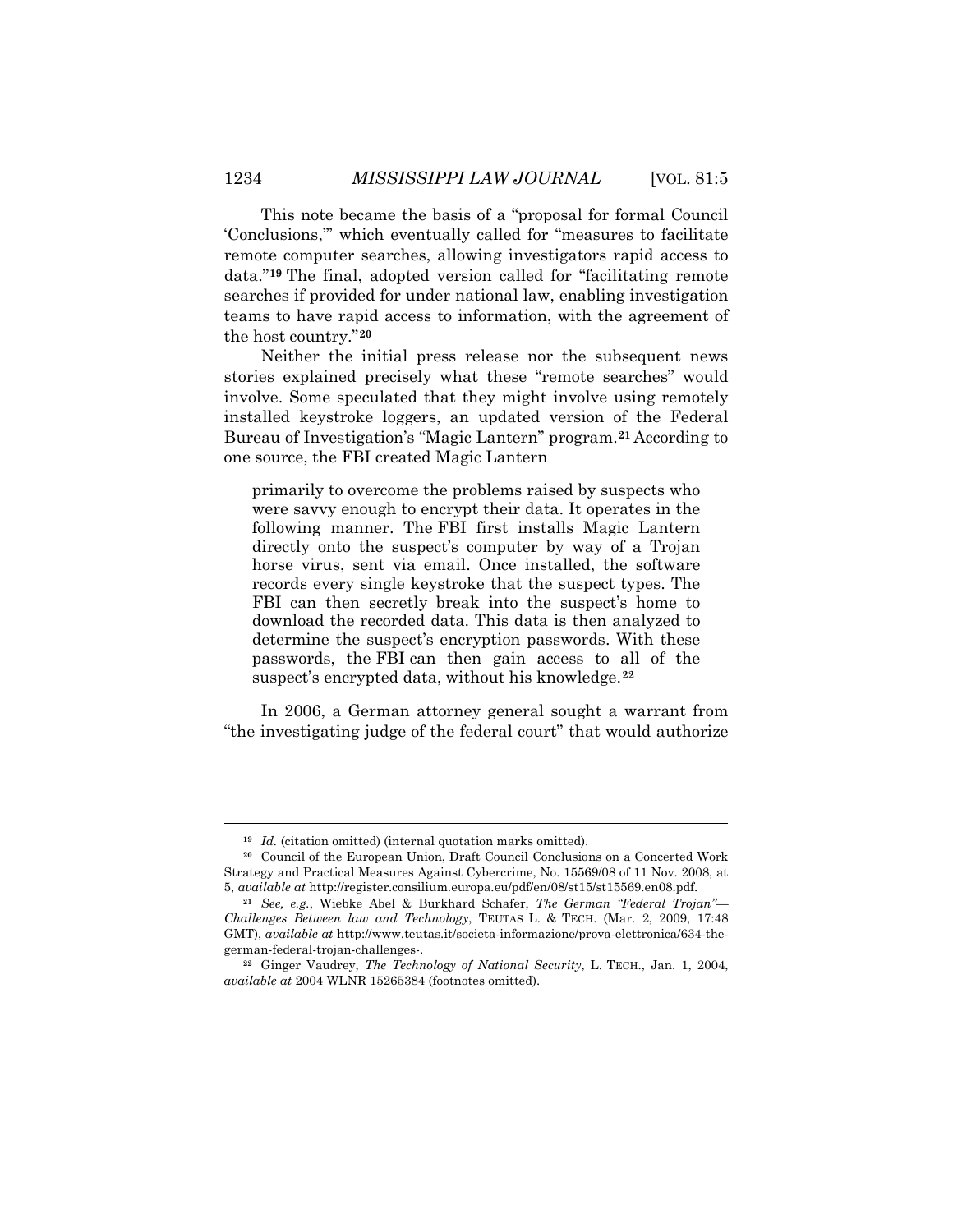This note became the basis of a "proposal for formal Council 'Conclusions,'" which eventually called for "measures to facilitate remote computer searches, allowing investigators rapid access to data."**[19](#page-5-0)** The final, adopted version called for "facilitating remote searches if provided for under national law, enabling investigation teams to have rapid access to information, with the agreement of the host country."**[20](#page-5-1)**

Neither the initial press release nor the subsequent news stories explained precisely what these "remote searches" would involve. Some speculated that they might involve using remotely installed keystroke loggers, an updated version of the Federal Bureau of Investigation's "Magic Lantern" program.**[21](#page-5-2)** According to one source, the FBI created Magic Lantern

primarily to overcome the problems raised by suspects who were savvy enough to encrypt their data. It operates in the following manner. The FBI first installs Magic Lantern directly onto the suspect's computer by way of a Trojan horse virus, sent via email. Once installed, the software records every single keystroke that the suspect types. The FBI can then secretly break into the suspect's home to download the recorded data. This data is then analyzed to determine the suspect's encryption passwords. With these passwords, the FBI can then gain access to all of the suspect's encrypted data, without his knowledge. **[22](#page-5-3)**

In 2006, a German attorney general sought a warrant from "the investigating judge of the federal court" that would authorize

**<sup>19</sup>** *Id.* (citation omitted) (internal quotation marks omitted).

<span id="page-5-1"></span><span id="page-5-0"></span>**<sup>20</sup>** Council of the European Union, Draft Council Conclusions on a Concerted Work Strategy and Practical Measures Against Cybercrime, No. 15569/08 of 11 Nov. 2008, at 5, *available at* http://register.consilium.europa.eu/pdf/en/08/st15/st15569.en08.pdf.

<span id="page-5-2"></span>**<sup>21</sup>** *See, e.g.*, Wiebke Abel & Burkhard Schafer, *The German "Federal Trojan"— Challenges Between law and Technology*, TEUTAS L. & TECH. (Mar. 2, 2009, 17:48 GMT), *available at* http://www.teutas.it/societa-informazione/prova-elettronica/634-thegerman-federal-trojan-challenges-.

<span id="page-5-3"></span>**<sup>22</sup>** Ginger Vaudrey, *The Technology of National Security*, L. TECH., Jan. 1, 2004, *available at* 2004 WLNR 15265384 (footnotes omitted).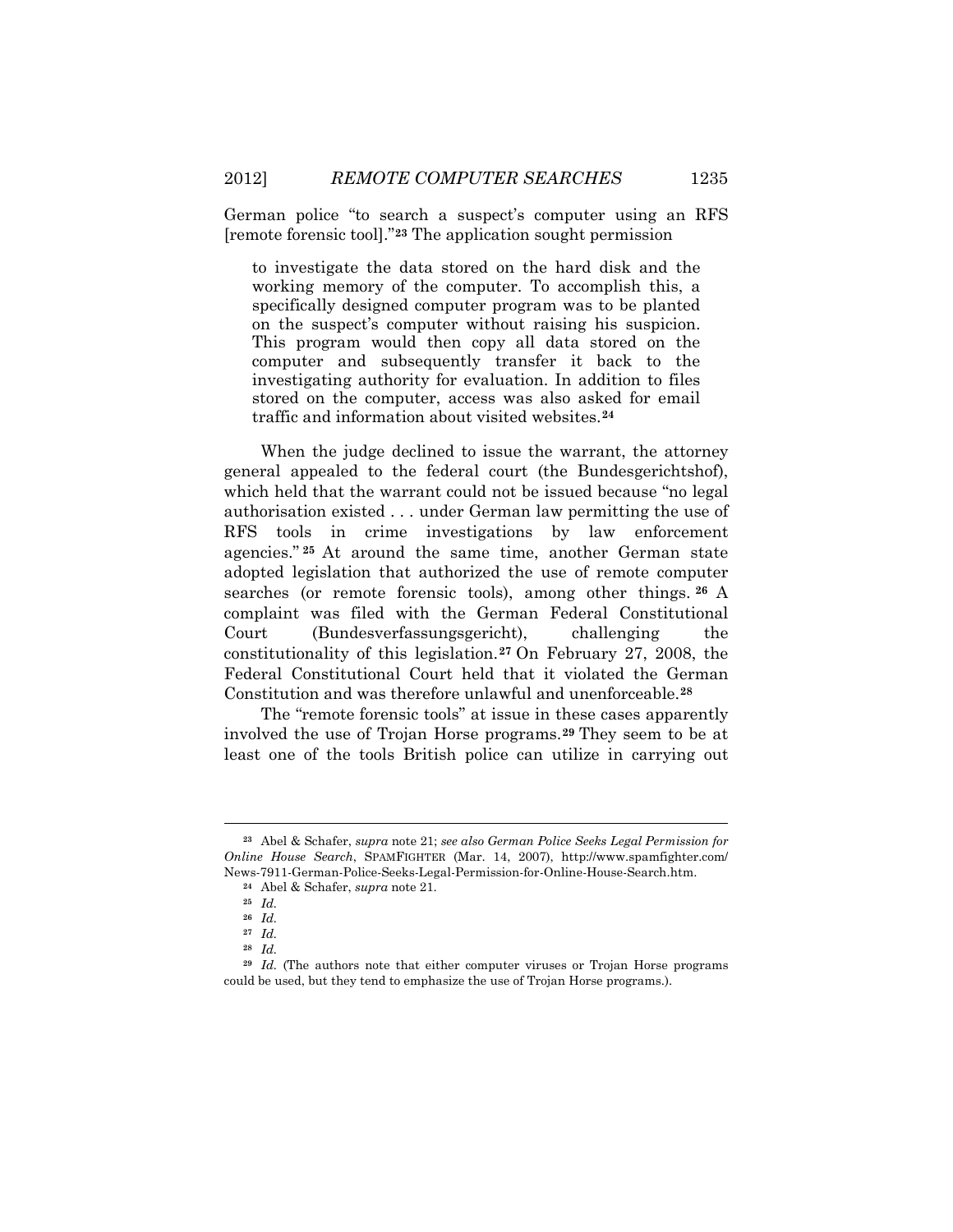German police "to search a suspect's computer using an RFS [remote forensic tool]."**[23](#page-6-0)** The application sought permission

to investigate the data stored on the hard disk and the working memory of the computer. To accomplish this, a specifically designed computer program was to be planted on the suspect's computer without raising his suspicion. This program would then copy all data stored on the computer and subsequently transfer it back to the investigating authority for evaluation. In addition to files stored on the computer, access was also asked for email traffic and information about visited websites. **[24](#page-6-1)**

When the judge declined to issue the warrant, the attorney general appealed to the federal court (the Bundesgerichtshof), which held that the warrant could not be issued because "no legal authorisation existed . . . under German law permitting the use of RFS tools in crime investigations by law enforcement agencies." **[25](#page-6-2)** At around the same time, another German state adopted legislation that authorized the use of remote computer searches (or remote forensic tools), among other things. **[26](#page-6-3)** A complaint was filed with the German Federal Constitutional Court (Bundesverfassungsgericht), challenging the constitutionality of this legislation.**[27](#page-6-4)** On February 27, 2008, the Federal Constitutional Court held that it violated the German Constitution and was therefore unlawful and unenforceable.**[28](#page-6-5)**

The "remote forensic tools" at issue in these cases apparently involved the use of Trojan Horse programs.**[29](#page-6-6)** They seem to be at least one of the tools British police can utilize in carrying out

<span id="page-6-1"></span><span id="page-6-0"></span>**<sup>23</sup>** Abel & Schafer, *supra* note 21; *see also German Police Seeks Legal Permission for Online House Search*, SPAMFIGHTER (Mar. 14, 2007), http://www.spamfighter.com/ News-7911-German-Police-Seeks-Legal-Permission-for-Online-House-Search.htm.

**<sup>24</sup>** Abel & Schafer, *supra* note 21.

**<sup>25</sup>** *Id.*

**<sup>26</sup>** *Id.*

**<sup>27</sup>** *Id.*

**<sup>28</sup>** *Id.*

<span id="page-6-6"></span><span id="page-6-5"></span><span id="page-6-4"></span><span id="page-6-3"></span><span id="page-6-2"></span>**<sup>29</sup>** *Id.* (The authors note that either computer viruses or Trojan Horse programs could be used, but they tend to emphasize the use of Trojan Horse programs.).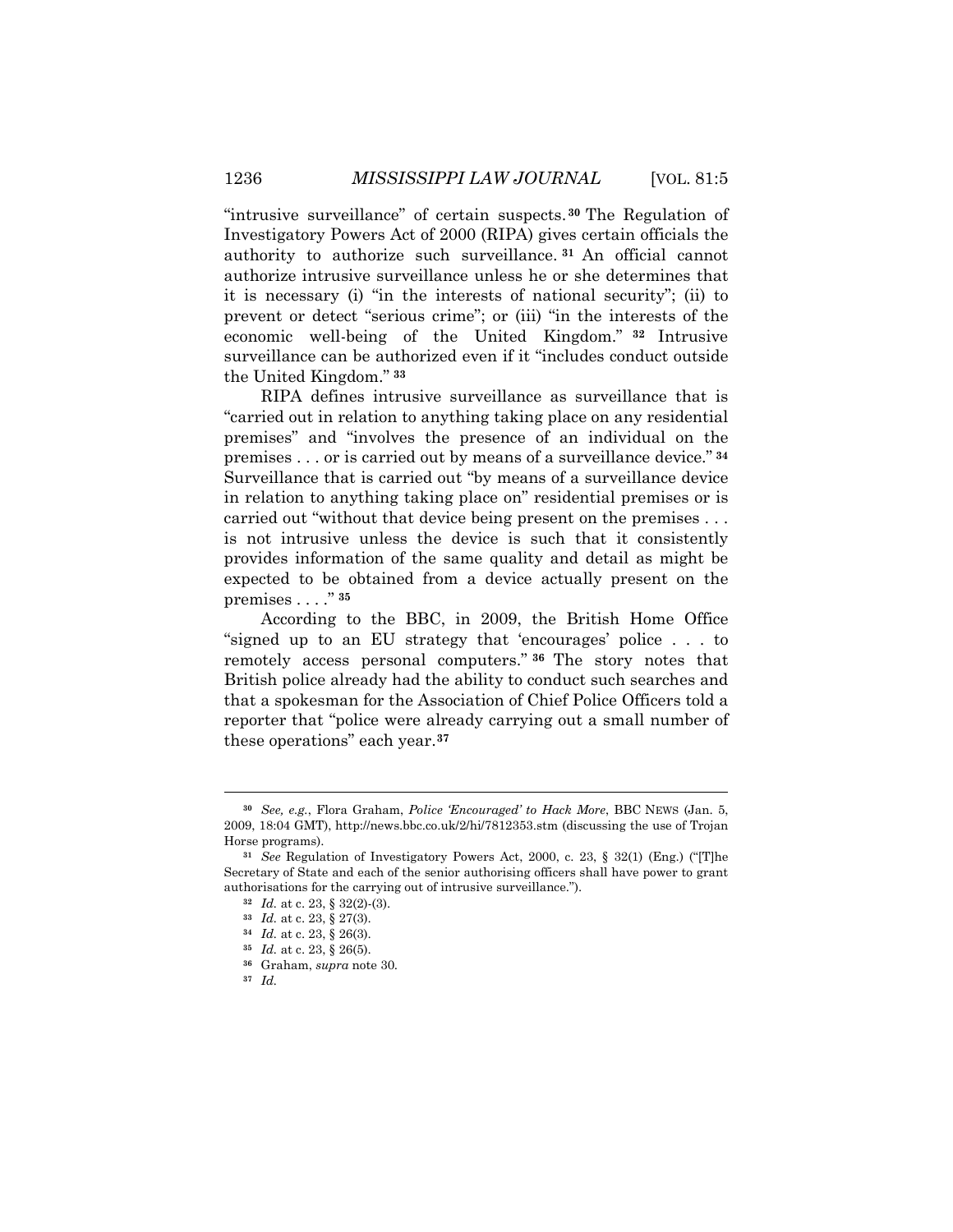"intrusive surveillance" of certain suspects. **[30](#page-7-0)** The Regulation of Investigatory Powers Act of 2000 (RIPA) gives certain officials the authority to authorize such surveillance. **[31](#page-7-1)** An official cannot authorize intrusive surveillance unless he or she determines that it is necessary (i) "in the interests of national security"; (ii) to prevent or detect "serious crime"; or (iii) "in the interests of the economic well-being of the United Kingdom." **[32](#page-7-2)** Intrusive surveillance can be authorized even if it "includes conduct outside the United Kingdom." **[33](#page-7-3)**

RIPA defines intrusive surveillance as surveillance that is "carried out in relation to anything taking place on any residential premises" and "involves the presence of an individual on the premises . . . or is carried out by means of a surveillance device." **[34](#page-7-4)** Surveillance that is carried out "by means of a surveillance device in relation to anything taking place on" residential premises or is carried out "without that device being present on the premises . . . is not intrusive unless the device is such that it consistently provides information of the same quality and detail as might be expected to be obtained from a device actually present on the premises . . . ." **[35](#page-7-5)**

According to the BBC, in 2009, the British Home Office "signed up to an EU strategy that 'encourages' police . . . to remotely access personal computers." **[36](#page-7-6)** The story notes that British police already had the ability to conduct such searches and that a spokesman for the Association of Chief Police Officers told a reporter that "police were already carrying out a small number of these operations" each year.**[37](#page-7-7)**

<span id="page-7-0"></span>**<sup>30</sup>** *See, e.g.*, Flora Graham, *Police 'Encouraged' to Hack More*, BBC NEWS (Jan. 5, 2009, 18:04 GMT), http://news.bbc.co.uk/2/hi/7812353.stm (discussing the use of Trojan Horse programs).

<span id="page-7-4"></span><span id="page-7-3"></span><span id="page-7-2"></span><span id="page-7-1"></span>**<sup>31</sup>** *See* Regulation of Investigatory Powers Act, 2000, c. 23, § 32(1) (Eng.) ("[T]he Secretary of State and each of the senior authorising officers shall have power to grant authorisations for the carrying out of intrusive surveillance.").

**<sup>32</sup>** *Id.* at c. 23, § 32(2)-(3).

**<sup>33</sup>** *Id.* at c. 23, § 27(3).

<span id="page-7-5"></span>**<sup>34</sup>** *Id.* at c. 23, § 26(3).

**<sup>35</sup>** *Id.* at c. 23, § 26(5).

**<sup>36</sup>** Graham, *supra* note 30.

<span id="page-7-7"></span><span id="page-7-6"></span>**<sup>37</sup>** *Id.*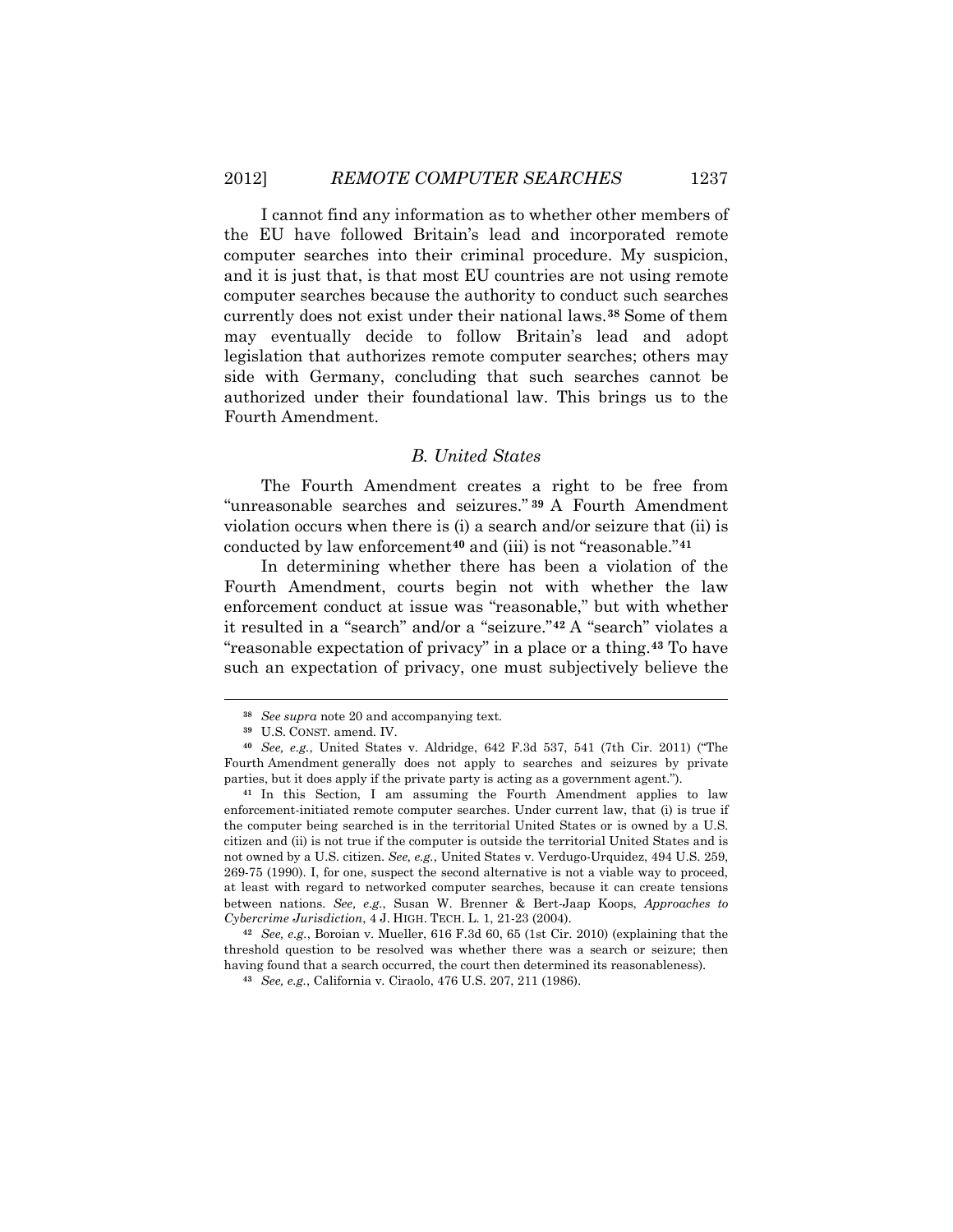I cannot find any information as to whether other members of the EU have followed Britain's lead and incorporated remote computer searches into their criminal procedure. My suspicion, and it is just that, is that most EU countries are not using remote computer searches because the authority to conduct such searches currently does not exist under their national laws.**[38](#page-8-0)** Some of them may eventually decide to follow Britain's lead and adopt legislation that authorizes remote computer searches; others may side with Germany, concluding that such searches cannot be authorized under their foundational law. This brings us to the Fourth Amendment.

### *B. United States*

The Fourth Amendment creates a right to be free from "unreasonable searches and seizures." **[39](#page-8-1)** A Fourth Amendment violation occurs when there is (i) a search and/or seizure that (ii) is conducted by law enforcement**[40](#page-8-2)** and (iii) is not "reasonable."**[41](#page-8-3)**

In determining whether there has been a violation of the Fourth Amendment, courts begin not with whether the law enforcement conduct at issue was "reasonable," but with whether it resulted in a "search" and/or a "seizure."**[42](#page-8-4)** A "search" violates a "reasonable expectation of privacy" in a place or a thing.**[43](#page-8-5)** To have such an expectation of privacy, one must subjectively believe the

 $\overline{a}$ 

<span id="page-8-5"></span><span id="page-8-4"></span>**<sup>42</sup>** *See, e.g.*, Boroian v. Mueller, 616 F.3d 60, 65 (1st Cir. 2010) (explaining that the threshold question to be resolved was whether there was a search or seizure; then having found that a search occurred, the court then determined its reasonableness).

**<sup>38</sup>** *See supra* note 20 and accompanying text*.*

**<sup>39</sup>** U.S. CONST. amend. IV.

<span id="page-8-2"></span><span id="page-8-1"></span><span id="page-8-0"></span>**<sup>40</sup>** *See, e.g.*, United States v. Aldridge, 642 F.3d 537, 541 (7th Cir. 2011) ("The Fourth Amendment generally does not apply to searches and seizures by private parties, but it does apply if the private party is acting as a government agent.").

<span id="page-8-3"></span>**<sup>41</sup>** In this Section, I am assuming the Fourth Amendment applies to law enforcement-initiated remote computer searches. Under current law, that (i) is true if the computer being searched is in the territorial United States or is owned by a U.S. citizen and (ii) is not true if the computer is outside the territorial United States and is not owned by a U.S. citizen. *See, e.g.*, United States v. Verdugo-Urquidez, 494 U.S. 259, 269-75 (1990). I, for one, suspect the second alternative is not a viable way to proceed, at least with regard to networked computer searches, because it can create tensions between nations. *See, e.g.*, Susan W. Brenner & Bert-Jaap Koops, *Approaches to Cybercrime Jurisdiction*, 4 J. HIGH. TECH. L. 1, 21-23 (2004).

**<sup>43</sup>** *See, e.g.*, California v. Ciraolo, 476 U.S. 207, 211 (1986).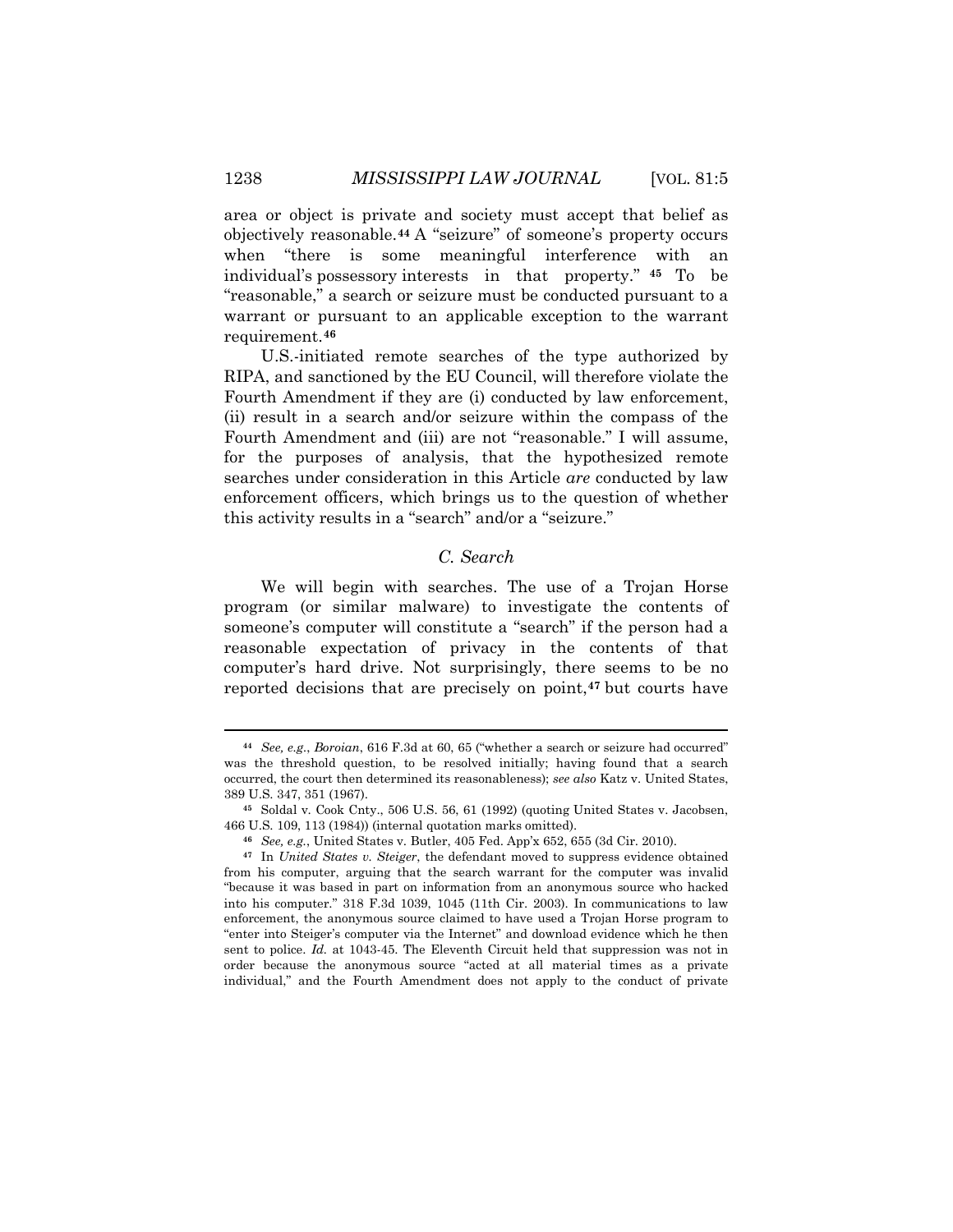area or object is private and society must accept that belief as objectively reasonable.**[44](#page-9-0)** A "seizure" of someone's property occurs when "there is some meaningful interference with an individual's possessory interests in that property." **[45](#page-9-1)** To be "reasonable," a search or seizure must be conducted pursuant to a warrant or pursuant to an applicable exception to the warrant requirement.**[46](#page-9-2)**

U.S.-initiated remote searches of the type authorized by RIPA, and sanctioned by the EU Council, will therefore violate the Fourth Amendment if they are (i) conducted by law enforcement, (ii) result in a search and/or seizure within the compass of the Fourth Amendment and (iii) are not "reasonable." I will assume, for the purposes of analysis, that the hypothesized remote searches under consideration in this Article *are* conducted by law enforcement officers, which brings us to the question of whether this activity results in a "search" and/or a "seizure."

# *C. Search*

We will begin with searches. The use of a Trojan Horse program (or similar malware) to investigate the contents of someone's computer will constitute a "search" if the person had a reasonable expectation of privacy in the contents of that computer's hard drive. Not surprisingly, there seems to be no reported decisions that are precisely on point,**[47](#page-9-3)** but courts have

<span id="page-9-0"></span>**<sup>44</sup>** *See, e.g.*, *Boroian*, 616 F.3d at 60, 65 ("whether a search or seizure had occurred" was the threshold question, to be resolved initially; having found that a search occurred, the court then determined its reasonableness); *see also* Katz v. United States, 389 U.S. 347, 351 (1967).

<span id="page-9-1"></span>**<sup>45</sup>** Soldal v. Cook Cnty., 506 U.S. 56, 61 (1992) (quoting United States v. Jacobsen, 466 U.S. 109, 113 (1984)) (internal quotation marks omitted).

**<sup>46</sup>** *See, e.g.*, United States v. Butler, 405 Fed. App'x 652, 655 (3d Cir. 2010).

<span id="page-9-3"></span><span id="page-9-2"></span>**<sup>47</sup>** In *United States v. Steiger*, the defendant moved to suppress evidence obtained from his computer, arguing that the search warrant for the computer was invalid "because it was based in part on information from an anonymous source who hacked into his computer." 318 F.3d 1039, 1045 (11th Cir. 2003). In communications to law enforcement, the anonymous source claimed to have used a Trojan Horse program to "enter into Steiger's computer via the Internet" and download evidence which he then sent to police. *Id.* at 1043-45. The Eleventh Circuit held that suppression was not in order because the anonymous source "acted at all material times as a private individual," and the Fourth Amendment does not apply to the conduct of private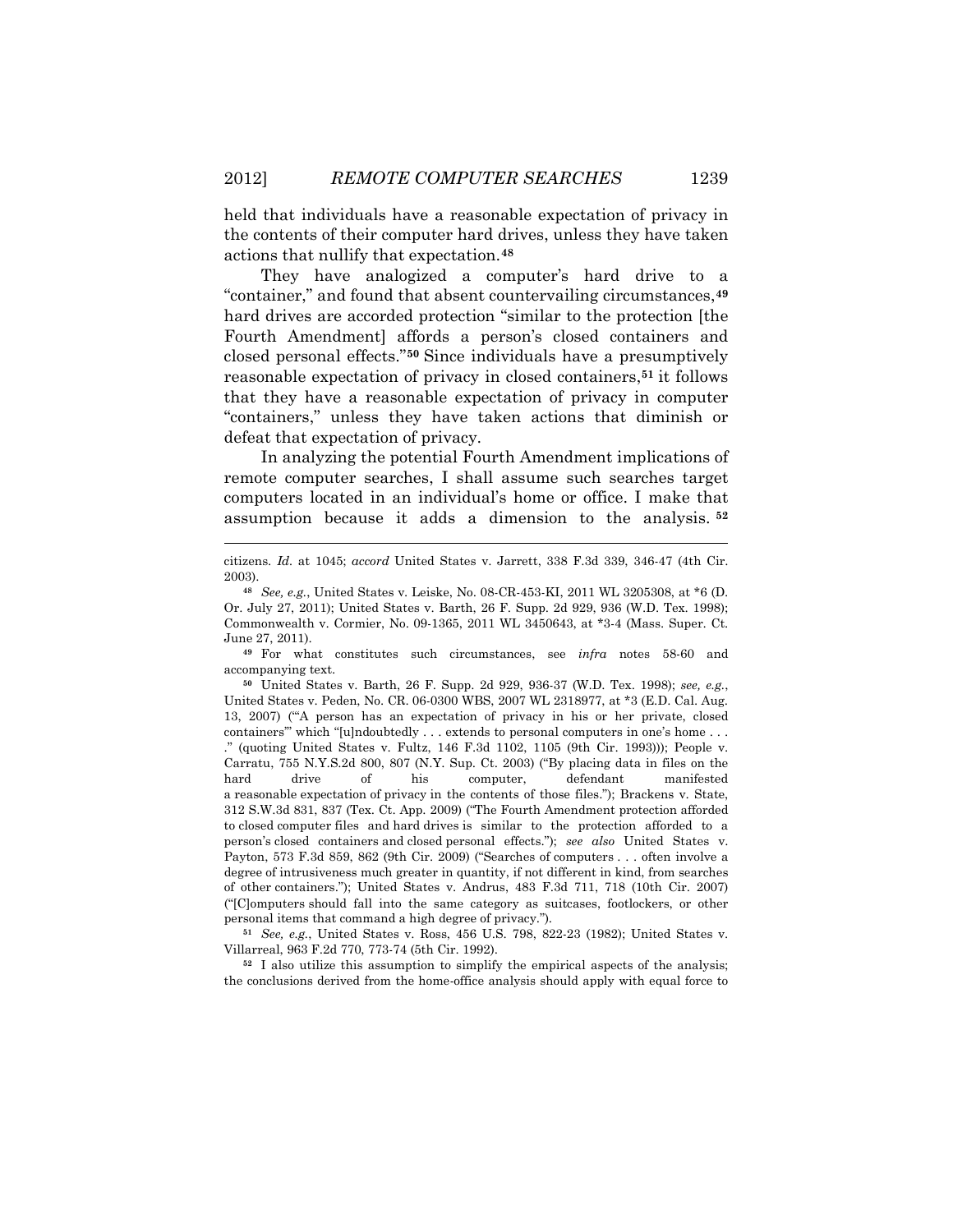held that individuals have a reasonable expectation of privacy in the contents of their computer hard drives, unless they have taken actions that nullify that expectation.**[48](#page-10-0)**

They have analogized a computer's hard drive to a "container," and found that absent countervailing circumstances,**[49](#page-10-1)** hard drives are accorded protection "similar to the protection [the Fourth Amendment] affords a person's closed containers and closed personal effects."**[50](#page-10-2)** Since individuals have a presumptively reasonable expectation of privacy in closed containers,**[51](#page-10-3)** it follows that they have a reasonable expectation of privacy in computer "containers," unless they have taken actions that diminish or defeat that expectation of privacy.

In analyzing the potential Fourth Amendment implications of remote computer searches, I shall assume such searches target computers located in an individual's home or office. I make that assumption because it adds a dimension to the analysis. **[52](#page-10-4)**

 $\overline{a}$ 

<span id="page-10-1"></span>**<sup>49</sup>** For what constitutes such circumstances, see *infra* notes 58-60 and accompanying text.

<span id="page-10-2"></span>**<sup>50</sup>** United States v. Barth, 26 F. Supp. 2d 929, 936-37 (W.D. Tex. 1998); *see, e.g.*, United States v. Peden, No. CR. 06-0300 WBS, 2007 WL 2318977, at \*3 (E.D. Cal. Aug. 13, 2007) ("'A person has an expectation of privacy in his or her private, closed containers'" which "[u]ndoubtedly . . . extends to personal computers in one's home . . . ." (quoting United States v. Fultz, 146 F.3d 1102, 1105 (9th Cir. 1993))); People v. Carratu, 755 N.Y.S.2d 800, 807 (N.Y. Sup. Ct. 2003) ("By placing data in files on the hard drive of his computer, defendant manifested a reasonable expectation of privacy in the contents of those files."); Brackens v. State, 312 S.W.3d 831, 837 (Tex. Ct. App. 2009) ("The Fourth Amendment protection afforded to closed computer files and hard drives is similar to the protection afforded to a person's closed containers and closed personal effects."); *see also* United States v. Payton, 573 F.3d 859, 862 (9th Cir. 2009) ("Searches of computers . . . often involve a degree of intrusiveness much greater in quantity, if not different in kind, from searches of other containers."); United States v. Andrus, 483 F.3d 711, 718 (10th Cir. 2007) ("[C]omputers should fall into the same category as suitcases, footlockers, or other personal items that command a high degree of privacy.").

<span id="page-10-3"></span>**<sup>51</sup>** *See, e.g.*, United States v. Ross, 456 U.S. 798, 822-23 (1982); United States v. Villarreal, 963 F.2d 770, 773-74 (5th Cir. 1992).

<span id="page-10-4"></span>**<sup>52</sup>** I also utilize this assumption to simplify the empirical aspects of the analysis; the conclusions derived from the home-office analysis should apply with equal force to

citizens. *Id.* at 1045; *accord* United States v. Jarrett, 338 F.3d 339, 346-47 (4th Cir. 2003).

<span id="page-10-0"></span>**<sup>48</sup>** *See, e.g.*, United States v. Leiske, No. 08-CR-453-KI, 2011 WL 3205308, at \*6 (D. Or. July 27, 2011); United States v. Barth, 26 F. Supp. 2d 929, 936 (W.D. Tex. 1998); Commonwealth v. Cormier, No. 09-1365, 2011 WL 3450643, at \*3-4 (Mass. Super. Ct. June 27, 2011).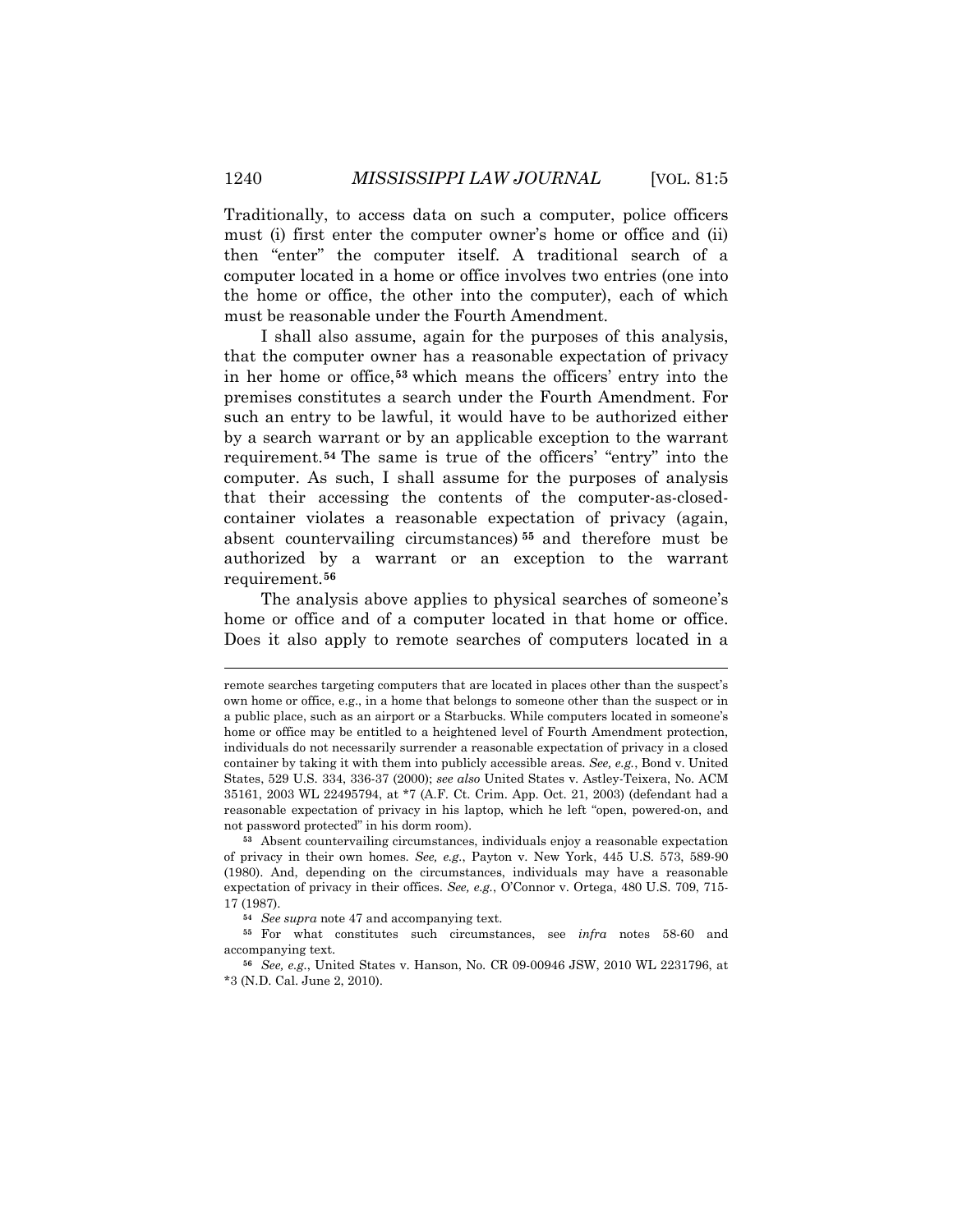Traditionally, to access data on such a computer, police officers must (i) first enter the computer owner's home or office and (ii) then "enter" the computer itself. A traditional search of a computer located in a home or office involves two entries (one into the home or office, the other into the computer), each of which must be reasonable under the Fourth Amendment.

I shall also assume, again for the purposes of this analysis, that the computer owner has a reasonable expectation of privacy in her home or office,**[53](#page-11-0)** which means the officers' entry into the premises constitutes a search under the Fourth Amendment. For such an entry to be lawful, it would have to be authorized either by a search warrant or by an applicable exception to the warrant requirement.**[54](#page-11-1)** The same is true of the officers' "entry" into the computer. As such, I shall assume for the purposes of analysis that their accessing the contents of the computer-as-closedcontainer violates a reasonable expectation of privacy (again, absent countervailing circumstances) **[55](#page-11-2)** and therefore must be authorized by a warrant or an exception to the warrant requirement.**[56](#page-11-3)**

The analysis above applies to physical searches of someone's home or office and of a computer located in that home or office. Does it also apply to remote searches of computers located in a

remote searches targeting computers that are located in places other than the suspect's own home or office, e.g., in a home that belongs to someone other than the suspect or in a public place, such as an airport or a Starbucks. While computers located in someone's home or office may be entitled to a heightened level of Fourth Amendment protection, individuals do not necessarily surrender a reasonable expectation of privacy in a closed container by taking it with them into publicly accessible areas. *See, e.g.*, Bond v. United States, 529 U.S. 334, 336-37 (2000); *see also* United States v. Astley-Teixera, No. ACM 35161, 2003 WL 22495794, at \*7 (A.F. Ct. Crim. App. Oct. 21, 2003) (defendant had a reasonable expectation of privacy in his laptop, which he left "open, powered-on, and not password protected" in his dorm room).

<span id="page-11-0"></span>**<sup>53</sup>** Absent countervailing circumstances, individuals enjoy a reasonable expectation of privacy in their own homes. *See, e.g.*, Payton v. New York, 445 U.S. 573, 589-90 (1980). And, depending on the circumstances, individuals may have a reasonable expectation of privacy in their offices. *See, e.g.*, O'Connor v. Ortega, 480 U.S. 709, 715- 17 (1987).

**<sup>54</sup>** *See supra* note 47 and accompanying text.

<span id="page-11-2"></span><span id="page-11-1"></span>**<sup>55</sup>** For what constitutes such circumstances, see *infra* notes 58-60 and accompanying text.

<span id="page-11-3"></span>**<sup>56</sup>** *See, e.g.*, United States v. Hanson, No. CR 09-00946 JSW, 2010 WL 2231796, at \*3 (N.D. Cal. June 2, 2010).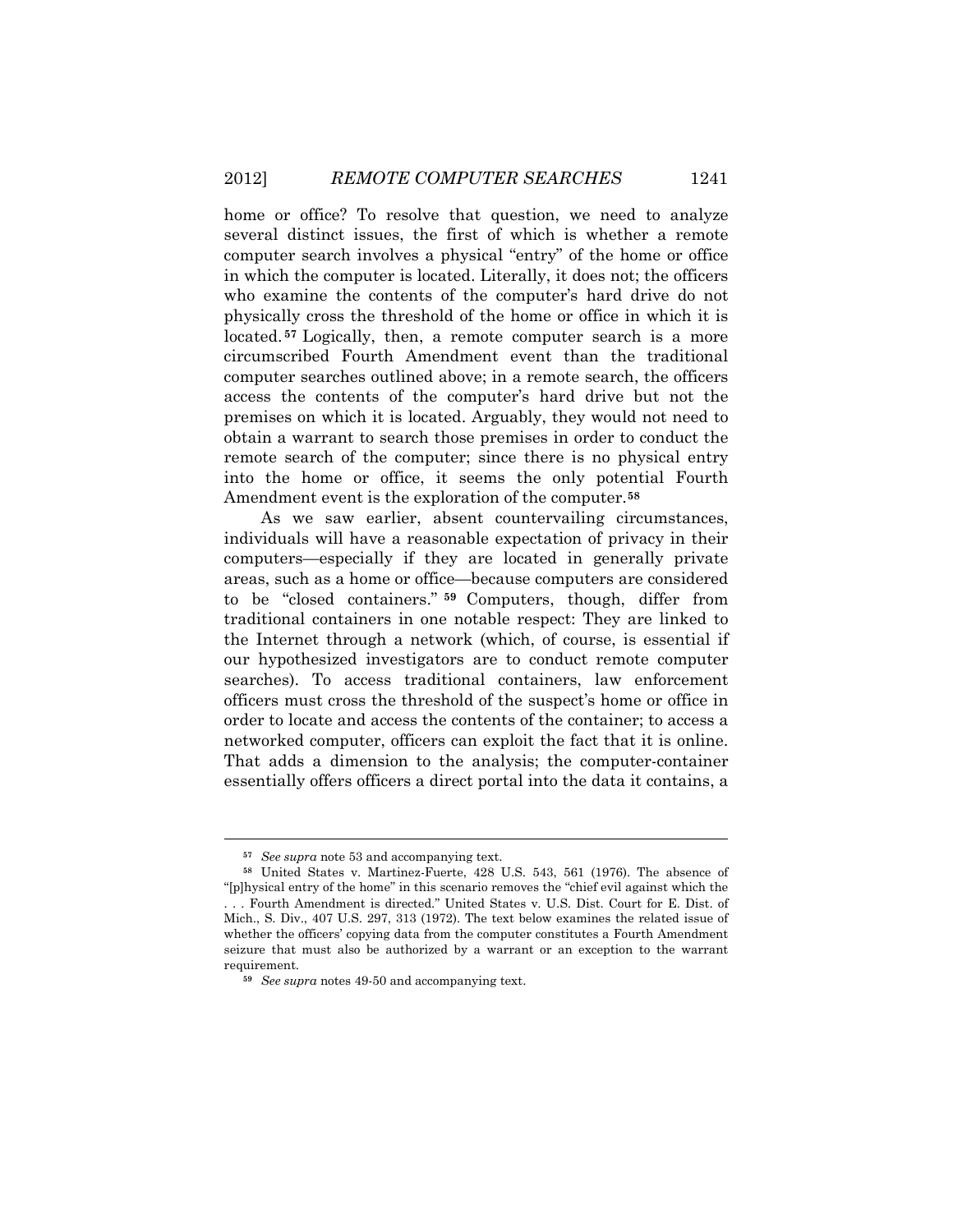home or office? To resolve that question, we need to analyze several distinct issues, the first of which is whether a remote computer search involves a physical "entry" of the home or office in which the computer is located. Literally, it does not; the officers who examine the contents of the computer's hard drive do not physically cross the threshold of the home or office in which it is located. **[57](#page-12-0)** Logically, then, a remote computer search is a more circumscribed Fourth Amendment event than the traditional computer searches outlined above; in a remote search, the officers access the contents of the computer's hard drive but not the premises on which it is located. Arguably, they would not need to obtain a warrant to search those premises in order to conduct the remote search of the computer; since there is no physical entry into the home or office, it seems the only potential Fourth Amendment event is the exploration of the computer.**[58](#page-12-1)**

As we saw earlier, absent countervailing circumstances, individuals will have a reasonable expectation of privacy in their computers—especially if they are located in generally private areas, such as a home or office—because computers are considered to be "closed containers." **[59](#page-12-2)** Computers, though, differ from traditional containers in one notable respect: They are linked to the Internet through a network (which, of course, is essential if our hypothesized investigators are to conduct remote computer searches). To access traditional containers, law enforcement officers must cross the threshold of the suspect's home or office in order to locate and access the contents of the container; to access a networked computer, officers can exploit the fact that it is online. That adds a dimension to the analysis; the computer-container essentially offers officers a direct portal into the data it contains, a

**<sup>57</sup>** *See supra* note 53 and accompanying text.

<span id="page-12-1"></span><span id="page-12-0"></span>**<sup>58</sup>** United States v. Martinez-Fuerte, 428 U.S. 543, 561 (1976). The absence of "[p]hysical entry of the home" in this scenario removes the "chief evil against which the . . . Fourth Amendment is directed." United States v. U.S. Dist. Court for E. Dist. of Mich., S. Div., 407 U.S. 297, 313 (1972). The text below examines the related issue of whether the officers' copying data from the computer constitutes a Fourth Amendment seizure that must also be authorized by a warrant or an exception to the warrant requirement.

<span id="page-12-2"></span>**<sup>59</sup>** *See supra* notes 49-50 and accompanying text.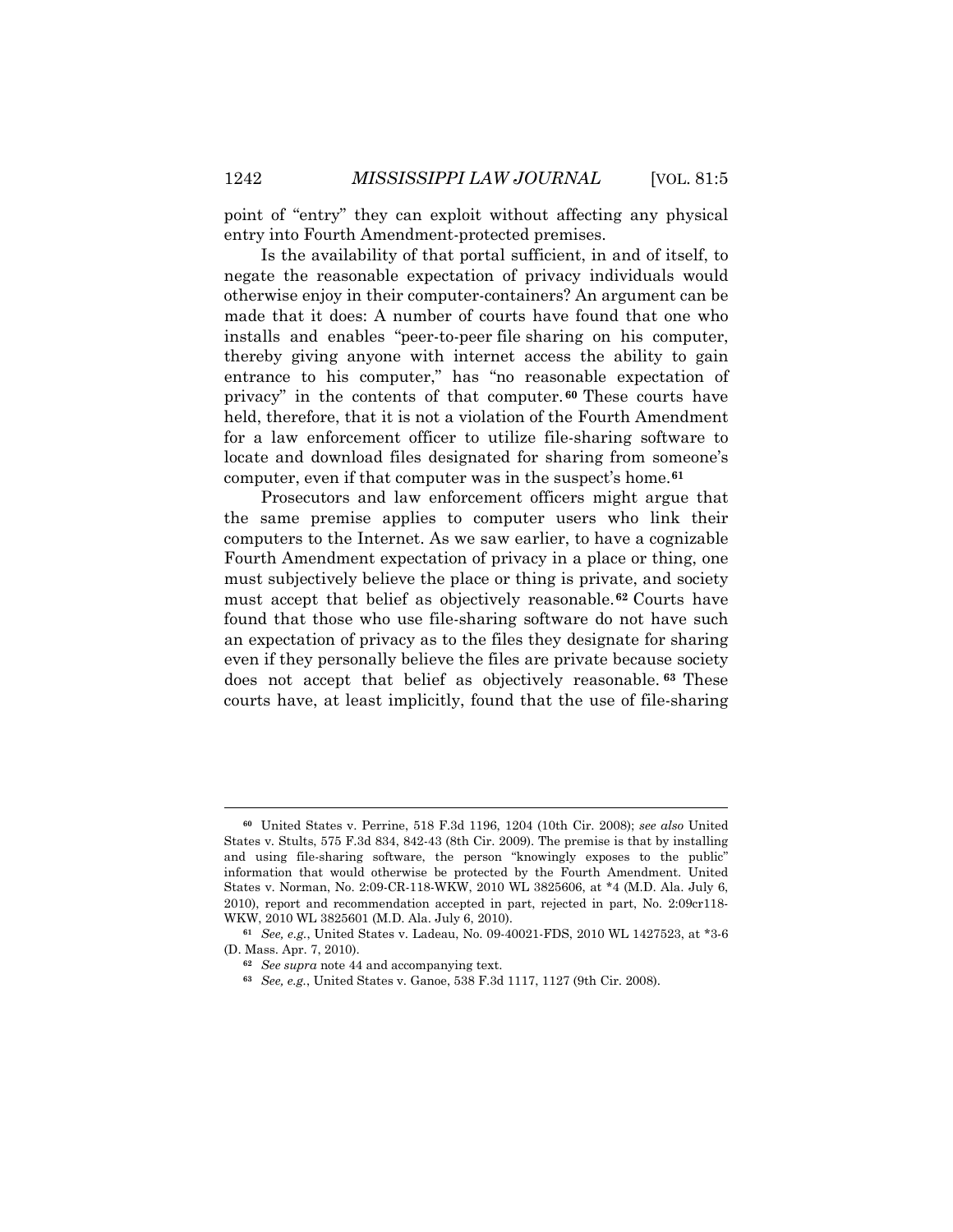point of "entry" they can exploit without affecting any physical entry into Fourth Amendment-protected premises.

Is the availability of that portal sufficient, in and of itself, to negate the reasonable expectation of privacy individuals would otherwise enjoy in their computer-containers? An argument can be made that it does: A number of courts have found that one who installs and enables "peer-to-peer file sharing on his computer, thereby giving anyone with internet access the ability to gain entrance to his computer," has "no reasonable expectation of privacy" in the contents of that computer. **[60](#page-13-0)** These courts have held, therefore, that it is not a violation of the Fourth Amendment for a law enforcement officer to utilize file-sharing software to locate and download files designated for sharing from someone's computer, even if that computer was in the suspect's home.**[61](#page-13-1)**

Prosecutors and law enforcement officers might argue that the same premise applies to computer users who link their computers to the Internet. As we saw earlier, to have a cognizable Fourth Amendment expectation of privacy in a place or thing, one must subjectively believe the place or thing is private, and society must accept that belief as objectively reasonable.**[62](#page-13-2)** Courts have found that those who use file-sharing software do not have such an expectation of privacy as to the files they designate for sharing even if they personally believe the files are private because society does not accept that belief as objectively reasonable. **[63](#page-13-3)** These courts have, at least implicitly, found that the use of file-sharing

<span id="page-13-0"></span>**<sup>60</sup>** United States v. Perrine, 518 F.3d 1196, 1204 (10th Cir. 2008); *see also* United States v. Stults, 575 F.3d 834, 842-43 (8th Cir. 2009). The premise is that by installing and using file-sharing software, the person "knowingly exposes to the public" information that would otherwise be protected by the Fourth Amendment. United States v. Norman, No. 2:09-CR-118-WKW, 2010 WL 3825606, at \*4 (M.D. Ala. July 6, 2010), report and recommendation accepted in part, rejected in part, No. 2:09cr118- WKW, 2010 WL 3825601 (M.D. Ala. July 6, 2010).

<span id="page-13-3"></span><span id="page-13-2"></span><span id="page-13-1"></span>**<sup>61</sup>** *See, e.g.*, United States v. Ladeau, No. 09-40021-FDS, 2010 WL 1427523, at \*3-6 (D. Mass. Apr. 7, 2010).

**<sup>62</sup>** *See supra* note 44 and accompanying text.

**<sup>63</sup>** *See, e.g.*, United States v. Ganoe, 538 F.3d 1117, 1127 (9th Cir. 2008).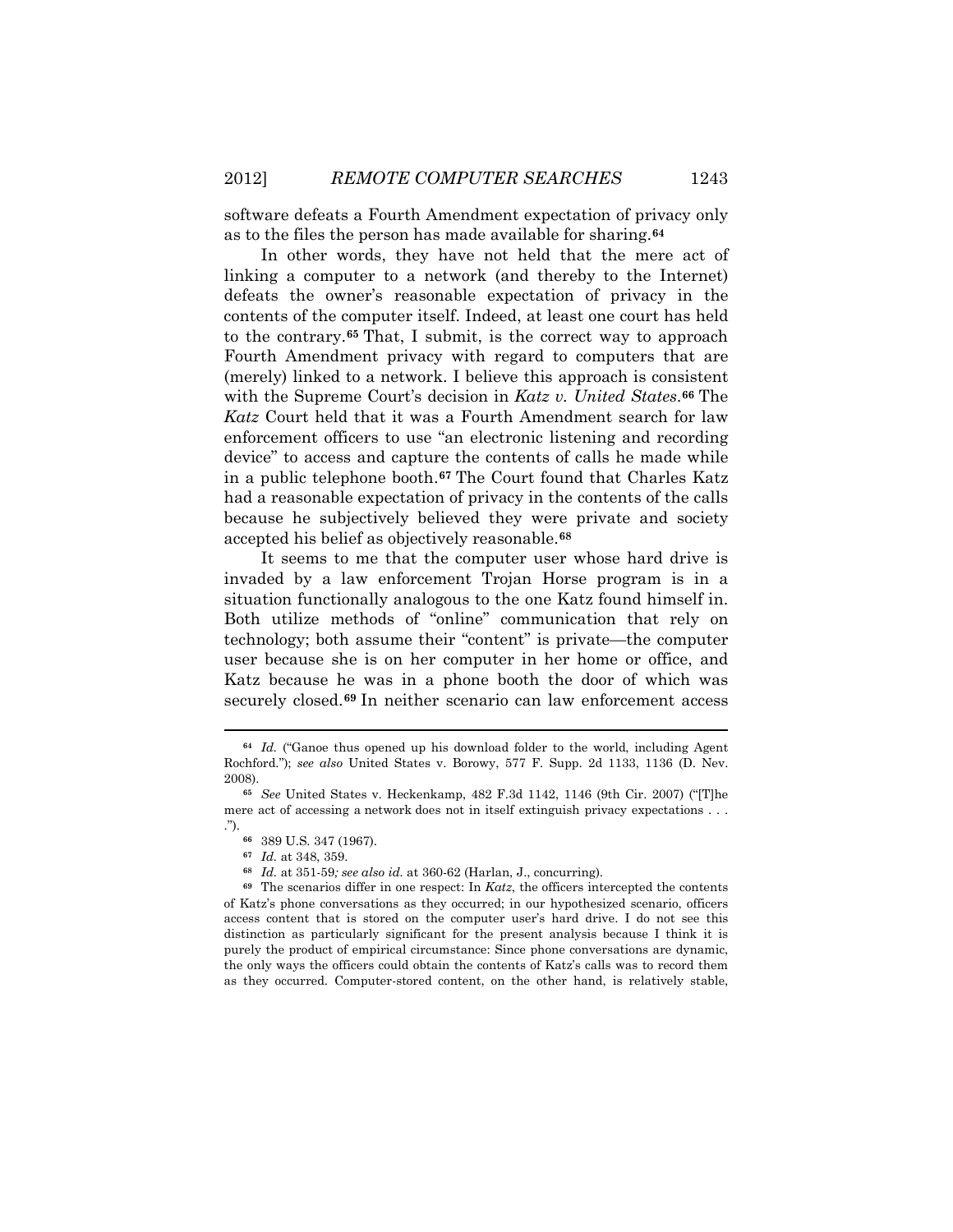software defeats a Fourth Amendment expectation of privacy only as to the files the person has made available for sharing.**[64](#page-14-0)**

In other words, they have not held that the mere act of linking a computer to a network (and thereby to the Internet) defeats the owner's reasonable expectation of privacy in the contents of the computer itself. Indeed, at least one court has held to the contrary.**[65](#page-14-1)** That, I submit, is the correct way to approach Fourth Amendment privacy with regard to computers that are (merely) linked to a network. I believe this approach is consistent with the Supreme Court's decision in *Katz v. United States*.**[66](#page-14-2)** The *Katz* Court held that it was a Fourth Amendment search for law enforcement officers to use "an electronic listening and recording device" to access and capture the contents of calls he made while in a public telephone booth.**[67](#page-14-3)** The Court found that Charles Katz had a reasonable expectation of privacy in the contents of the calls because he subjectively believed they were private and society accepted his belief as objectively reasonable.**[68](#page-14-4)**

It seems to me that the computer user whose hard drive is invaded by a law enforcement Trojan Horse program is in a situation functionally analogous to the one Katz found himself in. Both utilize methods of "online" communication that rely on technology; both assume their "content" is private—the computer user because she is on her computer in her home or office, and Katz because he was in a phone booth the door of which was securely closed.**[69](#page-14-5)** In neither scenario can law enforcement access

<span id="page-14-0"></span>**<sup>64</sup>** *Id.* ("Ganoe thus opened up his download folder to the world, including Agent Rochford."); *see also* United States v. Borowy, 577 F. Supp. 2d 1133, 1136 (D. Nev. 2008).

<span id="page-14-2"></span><span id="page-14-1"></span>**<sup>65</sup>** *See* United States v. Heckenkamp, 482 F.3d 1142, 1146 (9th Cir. 2007) ("[T]he mere act of accessing a network does not in itself extinguish privacy expectations . . . .").

**<sup>66</sup>** 389 U.S. 347 (1967).

**<sup>67</sup>** *Id.* at 348, 359.

**<sup>68</sup>** *Id.* at 351-59*; see also id.* at 360-62 (Harlan, J., concurring).

<span id="page-14-5"></span><span id="page-14-4"></span><span id="page-14-3"></span>**<sup>69</sup>** The scenarios differ in one respect: In *Katz*, the officers intercepted the contents of Katz's phone conversations as they occurred; in our hypothesized scenario, officers access content that is stored on the computer user's hard drive. I do not see this distinction as particularly significant for the present analysis because I think it is purely the product of empirical circumstance: Since phone conversations are dynamic, the only ways the officers could obtain the contents of Katz's calls was to record them as they occurred. Computer-stored content, on the other hand, is relatively stable,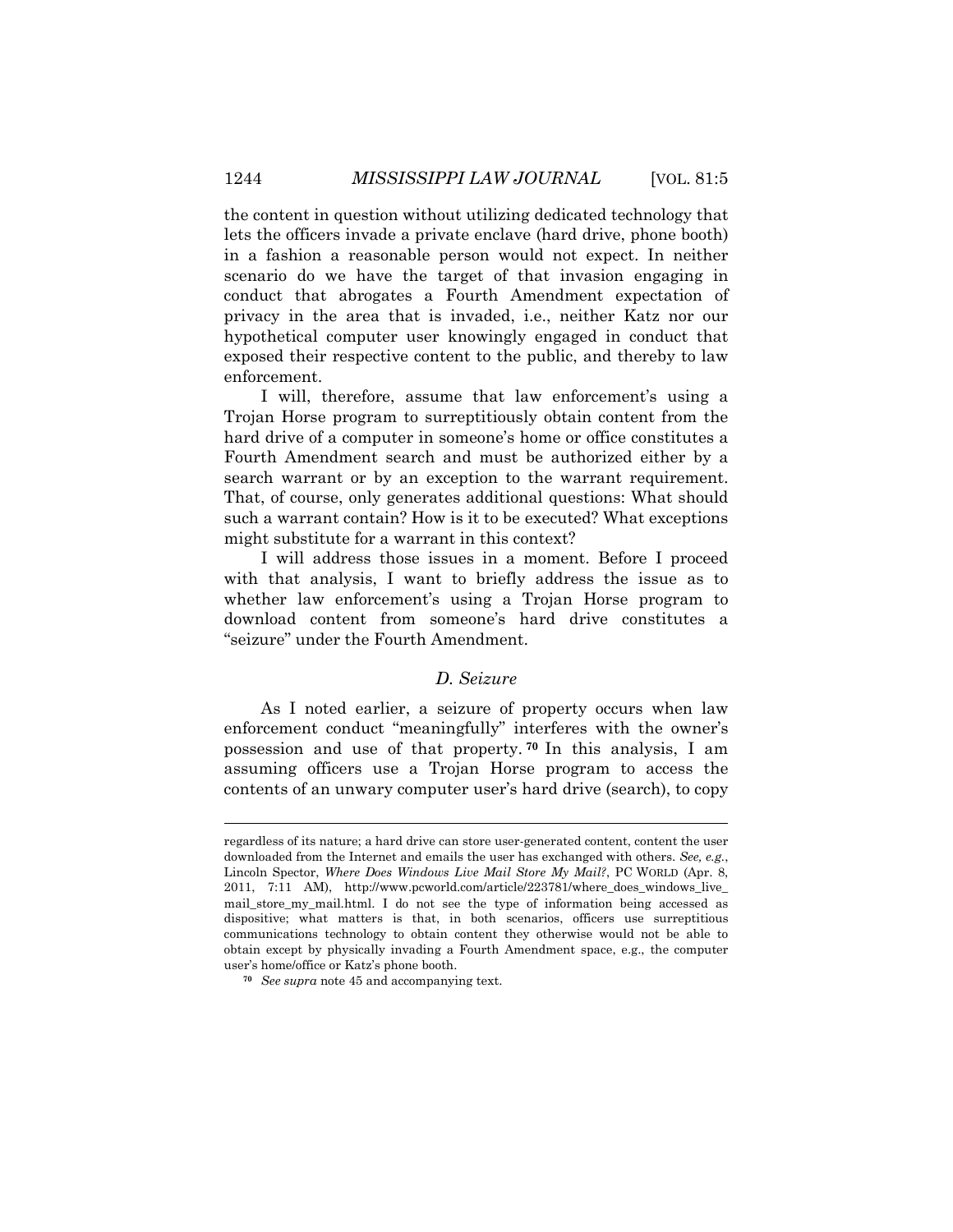the content in question without utilizing dedicated technology that lets the officers invade a private enclave (hard drive, phone booth) in a fashion a reasonable person would not expect. In neither scenario do we have the target of that invasion engaging in conduct that abrogates a Fourth Amendment expectation of privacy in the area that is invaded, i.e., neither Katz nor our hypothetical computer user knowingly engaged in conduct that exposed their respective content to the public, and thereby to law enforcement.

I will, therefore, assume that law enforcement's using a Trojan Horse program to surreptitiously obtain content from the hard drive of a computer in someone's home or office constitutes a Fourth Amendment search and must be authorized either by a search warrant or by an exception to the warrant requirement. That, of course, only generates additional questions: What should such a warrant contain? How is it to be executed? What exceptions might substitute for a warrant in this context?

I will address those issues in a moment. Before I proceed with that analysis, I want to briefly address the issue as to whether law enforcement's using a Trojan Horse program to download content from someone's hard drive constitutes a "seizure" under the Fourth Amendment.

# *D. Seizure*

As I noted earlier, a seizure of property occurs when law enforcement conduct "meaningfully" interferes with the owner's possession and use of that property. **[70](#page-15-0)** In this analysis, I am assuming officers use a Trojan Horse program to access the contents of an unwary computer user's hard drive (search), to copy

regardless of its nature; a hard drive can store user-generated content, content the user downloaded from the Internet and emails the user has exchanged with others. *See, e.g.*, Lincoln Spector, *Where Does Windows Live Mail Store My Mail?*, PC WORLD (Apr. 8, 2011, 7:11 AM), http://www.pcworld.com/article/223781/where\_does\_windows\_live\_ mail\_store\_my\_mail.html. I do not see the type of information being accessed as dispositive; what matters is that, in both scenarios, officers use surreptitious communications technology to obtain content they otherwise would not be able to obtain except by physically invading a Fourth Amendment space, e.g., the computer user's home/office or Katz's phone booth.

<span id="page-15-0"></span>**<sup>70</sup>** *See supra* note 45 and accompanying text.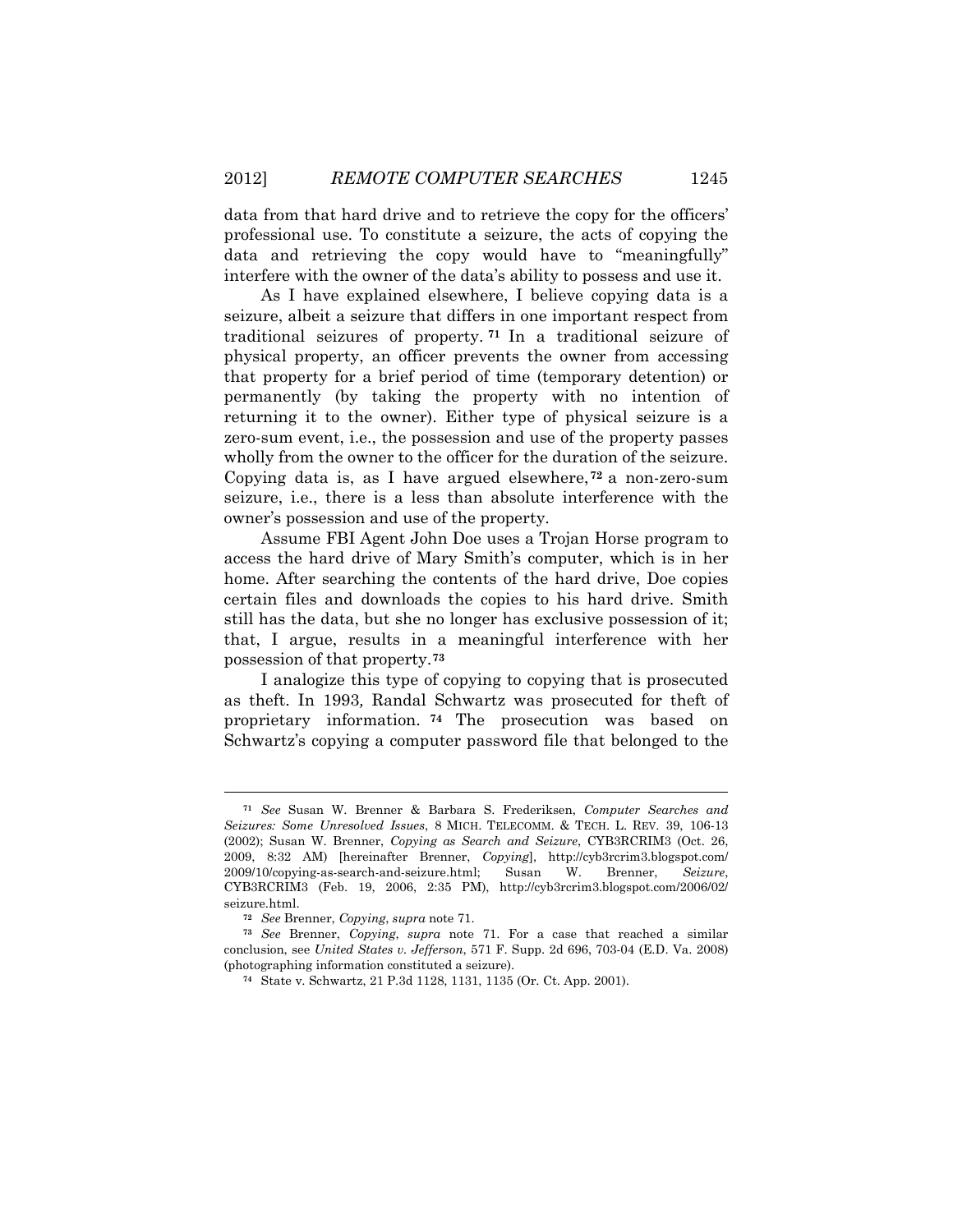data from that hard drive and to retrieve the copy for the officers' professional use. To constitute a seizure, the acts of copying the data and retrieving the copy would have to "meaningfully" interfere with the owner of the data's ability to possess and use it.

As I have explained elsewhere, I believe copying data is a seizure, albeit a seizure that differs in one important respect from traditional seizures of property. **[71](#page-16-0)** In a traditional seizure of physical property, an officer prevents the owner from accessing that property for a brief period of time (temporary detention) or permanently (by taking the property with no intention of returning it to the owner). Either type of physical seizure is a zero-sum event, i.e., the possession and use of the property passes wholly from the owner to the officer for the duration of the seizure. Copying data is, as I have argued elsewhere,**[72](#page-16-1)** a non-zero-sum seizure, i.e., there is a less than absolute interference with the owner's possession and use of the property.

Assume FBI Agent John Doe uses a Trojan Horse program to access the hard drive of Mary Smith's computer, which is in her home. After searching the contents of the hard drive, Doe copies certain files and downloads the copies to his hard drive. Smith still has the data, but she no longer has exclusive possession of it; that, I argue, results in a meaningful interference with her possession of that property. **[73](#page-16-2)**

I analogize this type of copying to copying that is prosecuted as theft. In 1993*,* Randal Schwartz was prosecuted for theft of proprietary information. **[74](#page-16-3)** The prosecution was based on Schwartz's copying a computer password file that belonged to the

<span id="page-16-0"></span>**<sup>71</sup>** *See* Susan W. Brenner & Barbara S. Frederiksen, *Computer Searches and Seizures: Some Unresolved Issues*, 8 MICH. TELECOMM. & TECH. L. REV. 39, 106-13 (2002); Susan W. Brenner, *Copying as Search and Seizure*, CYB3RCRIM3 (Oct. 26, 2009, 8:32 AM) [hereinafter Brenner, *Copying*], http://cyb3rcrim3.blogspot.com/ 2009/10/copying-as-search-and-seizure.html; Susan W. Brenner, *Seizure*, CYB3RCRIM3 (Feb. 19, 2006, 2:35 PM), http://cyb3rcrim3.blogspot.com/2006/02/ seizure.html.

**<sup>72</sup>** *See* Brenner, *Copying*, *supra* note 71.

<span id="page-16-3"></span><span id="page-16-2"></span><span id="page-16-1"></span>**<sup>73</sup>** *See* Brenner, *Copying*, *supra* note 71. For a case that reached a similar conclusion, see *United States v. Jefferson*, 571 F. Supp. 2d 696, 703-04 (E.D. Va. 2008) (photographing information constituted a seizure).

**<sup>74</sup>** State v. Schwartz, 21 P.3d 1128, 1131, 1135 (Or. Ct. App. 2001).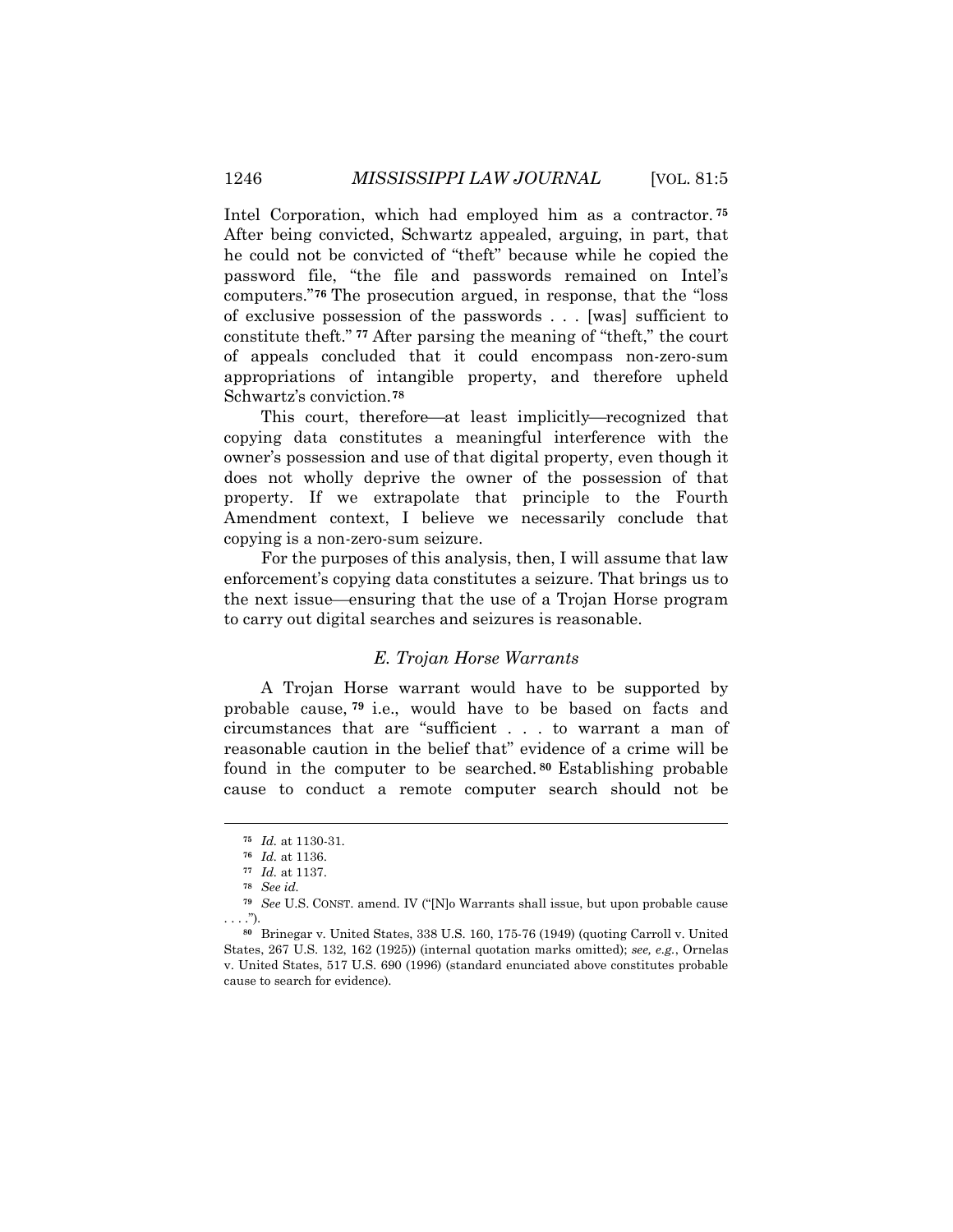Intel Corporation, which had employed him as a contractor. **[75](#page-17-0)** After being convicted, Schwartz appealed, arguing, in part, that he could not be convicted of "theft" because while he copied the password file, "the file and passwords remained on Intel's computers."**[76](#page-17-1)** The prosecution argued, in response, that the "loss of exclusive possession of the passwords . . . [was] sufficient to constitute theft." **[77](#page-17-2)** After parsing the meaning of "theft," the court of appeals concluded that it could encompass non-zero-sum appropriations of intangible property, and therefore upheld Schwartz's conviction.**[78](#page-17-3)**

This court, therefore—at least implicitly—recognized that copying data constitutes a meaningful interference with the owner's possession and use of that digital property, even though it does not wholly deprive the owner of the possession of that property. If we extrapolate that principle to the Fourth Amendment context, I believe we necessarily conclude that copying is a non-zero-sum seizure.

For the purposes of this analysis, then, I will assume that law enforcement's copying data constitutes a seizure. That brings us to the next issue—ensuring that the use of a Trojan Horse program to carry out digital searches and seizures is reasonable.

# *E. Trojan Horse Warrants*

A Trojan Horse warrant would have to be supported by probable cause, **[79](#page-17-4)** i.e., would have to be based on facts and circumstances that are "sufficient . . . to warrant a man of reasonable caution in the belief that" evidence of a crime will be found in the computer to be searched. **[80](#page-17-5)** Establishing probable cause to conduct a remote computer search should not be

**<sup>75</sup>** *Id.* at 1130-31.

**<sup>76</sup>** *Id.* at 1136.

**<sup>77</sup>** *Id.* at 1137.

**<sup>78</sup>** *See id.*

<span id="page-17-3"></span><span id="page-17-2"></span><span id="page-17-1"></span><span id="page-17-0"></span>**<sup>79</sup>** *See* U.S. CONST. amend. IV ("[N]o Warrants shall issue, but upon probable cause . . . .").

<span id="page-17-5"></span><span id="page-17-4"></span>**<sup>80</sup>** Brinegar v. United States, 338 U.S. 160, 175-76 (1949) (quoting Carroll v. United States, 267 U.S. 132, 162 (1925)) (internal quotation marks omitted); *see, e.g.*, Ornelas v. United States, 517 U.S. 690 (1996) (standard enunciated above constitutes probable cause to search for evidence).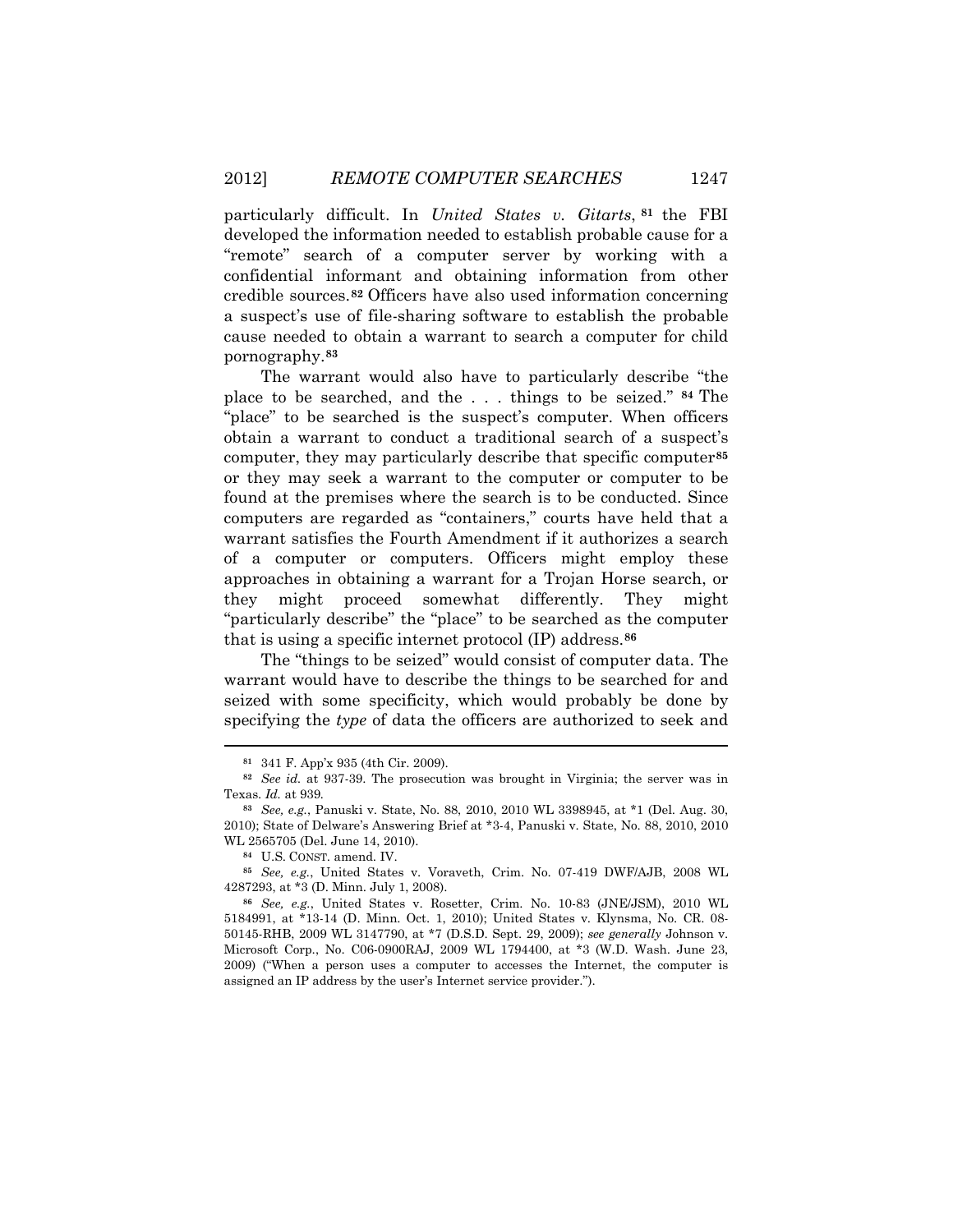particularly difficult. In *United States v. Gitarts*, **[81](#page-18-0)** the FBI developed the information needed to establish probable cause for a "remote" search of a computer server by working with a confidential informant and obtaining information from other credible sources.**[82](#page-18-1)** Officers have also used information concerning a suspect's use of file-sharing software to establish the probable cause needed to obtain a warrant to search a computer for child pornography.**[83](#page-18-2)**

The warrant would also have to particularly describe "the place to be searched, and the . . . things to be seized." **[84](#page-18-3)** The "place" to be searched is the suspect's computer. When officers obtain a warrant to conduct a traditional search of a suspect's computer, they may particularly describe that specific computer**[85](#page-18-4)** or they may seek a warrant to the computer or computer to be found at the premises where the search is to be conducted. Since computers are regarded as "containers," courts have held that a warrant satisfies the Fourth Amendment if it authorizes a search of a computer or computers. Officers might employ these approaches in obtaining a warrant for a Trojan Horse search, or they might proceed somewhat differently. They might "particularly describe" the "place" to be searched as the computer that is using a specific internet protocol (IP) address.**[86](#page-18-5)**

The "things to be seized" would consist of computer data. The warrant would have to describe the things to be searched for and seized with some specificity, which would probably be done by specifying the *type* of data the officers are authorized to seek and

**<sup>81</sup>** 341 F. App'x 935 (4th Cir. 2009).

<span id="page-18-1"></span><span id="page-18-0"></span>**<sup>82</sup>** *See id.* at 937-39. The prosecution was brought in Virginia; the server was in Texas. *Id.* at 939*.*

<span id="page-18-2"></span>**<sup>83</sup>** *See, e.g.*, Panuski v. State, No. 88, 2010, 2010 WL 3398945, at \*1 (Del. Aug. 30, 2010); State of Delware's Answering Brief at \*3-4, Panuski v. State, No. 88, 2010, 2010 WL 2565705 (Del. June 14, 2010).

**<sup>84</sup>** U.S. CONST. amend. IV.

<span id="page-18-4"></span><span id="page-18-3"></span>**<sup>85</sup>** *See, e.g.*, United States v. Voraveth, Crim. No. 07-419 DWF/AJB, 2008 WL 4287293, at \*3 (D. Minn. July 1, 2008).

<span id="page-18-5"></span>**<sup>86</sup>** *See, e.g.*, United States v. Rosetter, Crim. No. 10-83 (JNE/JSM), 2010 WL 5184991, at \*13-14 (D. Minn. Oct. 1, 2010); United States v. Klynsma, No. CR. 08- 50145-RHB, 2009 WL 3147790, at \*7 (D.S.D. Sept. 29, 2009); *see generally* Johnson v. Microsoft Corp., No. C06-0900RAJ, 2009 WL 1794400, at \*3 (W.D. Wash. June 23, 2009) ("When a person uses a computer to accesses the Internet, the computer is assigned an IP address by the user's Internet service provider.").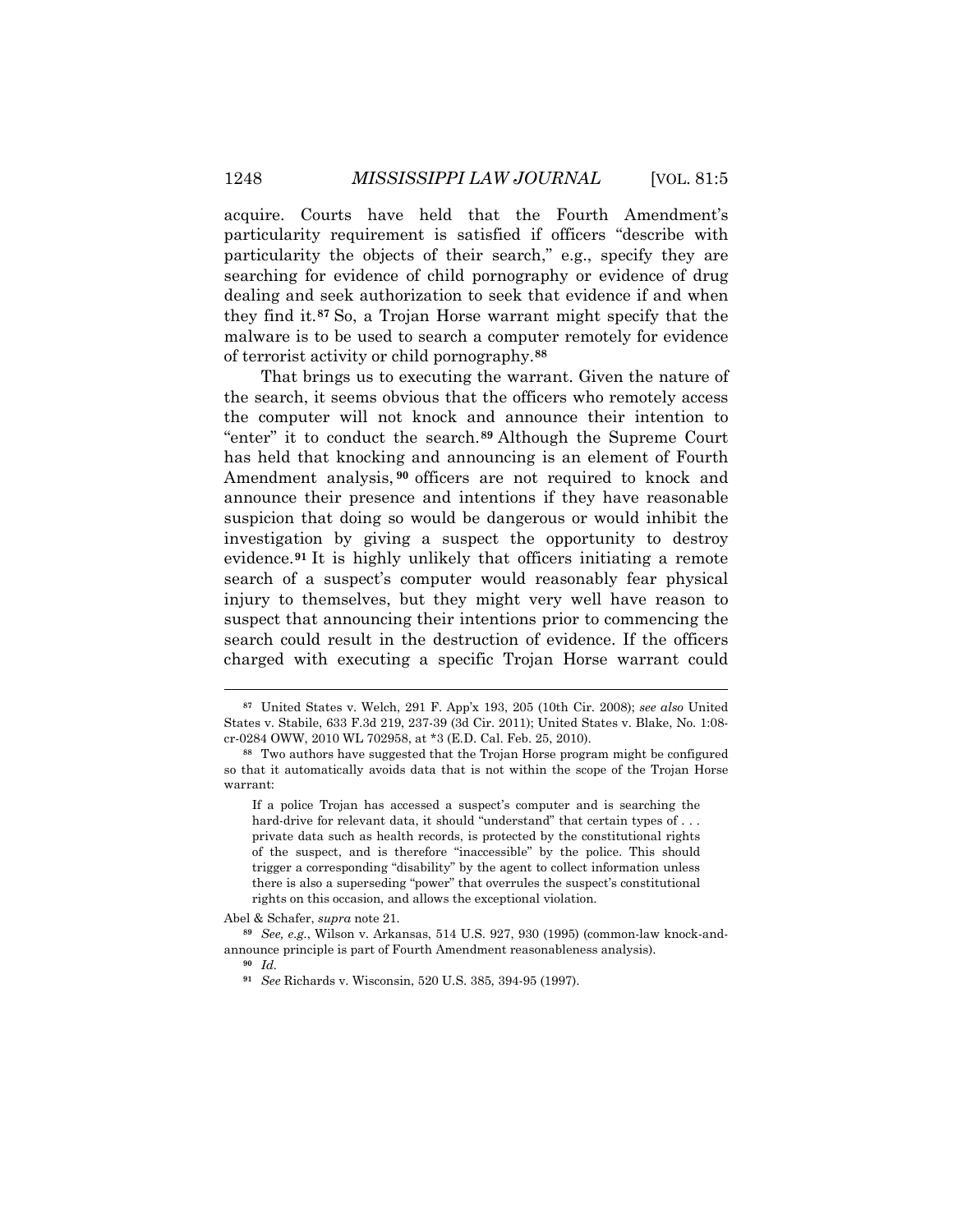acquire. Courts have held that the Fourth Amendment's particularity requirement is satisfied if officers "describe with particularity the objects of their search," e.g., specify they are searching for evidence of child pornography or evidence of drug dealing and seek authorization to seek that evidence if and when they find it.**[87](#page-19-0)** So, a Trojan Horse warrant might specify that the malware is to be used to search a computer remotely for evidence of terrorist activity or child pornography.**[88](#page-19-1)**

That brings us to executing the warrant. Given the nature of the search, it seems obvious that the officers who remotely access the computer will not knock and announce their intention to "enter" it to conduct the search.**[89](#page-19-2)** Although the Supreme Court has held that knocking and announcing is an element of Fourth Amendment analysis, **[90](#page-19-3)** officers are not required to knock and announce their presence and intentions if they have reasonable suspicion that doing so would be dangerous or would inhibit the investigation by giving a suspect the opportunity to destroy evidence.**[91](#page-19-4)** It is highly unlikely that officers initiating a remote search of a suspect's computer would reasonably fear physical injury to themselves, but they might very well have reason to suspect that announcing their intentions prior to commencing the search could result in the destruction of evidence. If the officers charged with executing a specific Trojan Horse warrant could

Abel & Schafer, *supra* note 21.

<span id="page-19-0"></span>**<sup>87</sup>** United States v. Welch, 291 F. App'x 193, 205 (10th Cir. 2008); *see also* United States v. Stabile, 633 F.3d 219, 237-39 (3d Cir. 2011); United States v. Blake, No. 1:08 cr-0284 OWW, 2010 WL 702958, at \*3 (E.D. Cal. Feb. 25, 2010).

<span id="page-19-1"></span>**<sup>88</sup>** Two authors have suggested that the Trojan Horse program might be configured so that it automatically avoids data that is not within the scope of the Trojan Horse warrant:

If a police Trojan has accessed a suspect's computer and is searching the hard-drive for relevant data, it should "understand" that certain types of ... private data such as health records, is protected by the constitutional rights of the suspect, and is therefore "inaccessible" by the police. This should trigger a corresponding "disability" by the agent to collect information unless there is also a superseding "power" that overrules the suspect's constitutional rights on this occasion, and allows the exceptional violation.

<span id="page-19-4"></span><span id="page-19-3"></span><span id="page-19-2"></span>**<sup>89</sup>** *See, e.g.*, Wilson v. Arkansas, 514 U.S. 927, 930 (1995) (common-law knock-andannounce principle is part of Fourth Amendment reasonableness analysis).

**<sup>90</sup>** *Id.*

**<sup>91</sup>** *See* Richards v. Wisconsin, 520 U.S. 385, 394-95 (1997).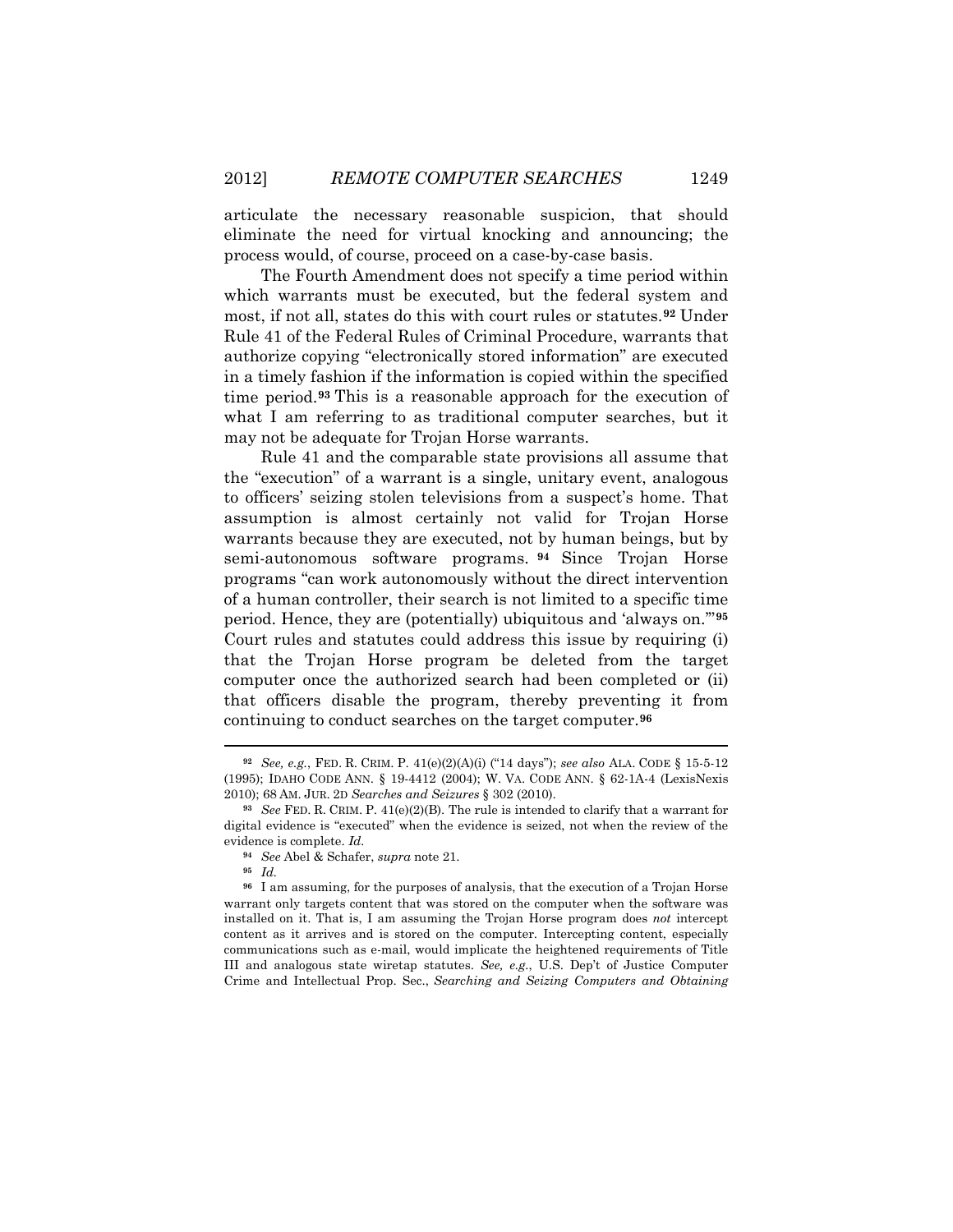articulate the necessary reasonable suspicion, that should eliminate the need for virtual knocking and announcing; the process would, of course, proceed on a case-by-case basis.

The Fourth Amendment does not specify a time period within which warrants must be executed, but the federal system and most, if not all, states do this with court rules or statutes.**[92](#page-20-0)** Under Rule 41 of the Federal Rules of Criminal Procedure, warrants that authorize copying "electronically stored information" are executed in a timely fashion if the information is copied within the specified time period.**[93](#page-20-1)** This is a reasonable approach for the execution of what I am referring to as traditional computer searches, but it may not be adequate for Trojan Horse warrants.

Rule 41 and the comparable state provisions all assume that the "execution" of a warrant is a single, unitary event, analogous to officers' seizing stolen televisions from a suspect's home. That assumption is almost certainly not valid for Trojan Horse warrants because they are executed, not by human beings, but by semi-autonomous software programs. **[94](#page-20-2)** Since Trojan Horse programs "can work autonomously without the direct intervention of a human controller, their search is not limited to a specific time period. Hence, they are (potentially) ubiquitous and 'always on.'"**[95](#page-20-3)** Court rules and statutes could address this issue by requiring (i) that the Trojan Horse program be deleted from the target computer once the authorized search had been completed or (ii) that officers disable the program, thereby preventing it from continuing to conduct searches on the target computer.**[96](#page-20-4)**

<span id="page-20-0"></span>**<sup>92</sup>** *See, e.g.*, FED. R. CRIM. P. 41(e)(2)(A)(i) ("14 days"); *see also* ALA. CODE § 15-5-12 (1995); IDAHO CODE ANN. § 19-4412 (2004); W. VA. CODE ANN. § 62-1A-4 (LexisNexis 2010); 68 AM. JUR. 2D *Searches and Seizures* § 302 (2010).

<span id="page-20-1"></span>**<sup>93</sup>** *See* FED. R. CRIM. P. 41(e)(2)(B). The rule is intended to clarify that a warrant for digital evidence is "executed" when the evidence is seized, not when the review of the evidence is complete. *Id.*

**<sup>94</sup>** *See* Abel & Schafer, *supra* note 21.

**<sup>95</sup>** *Id.*

<span id="page-20-4"></span><span id="page-20-3"></span><span id="page-20-2"></span>**<sup>96</sup>** I am assuming, for the purposes of analysis, that the execution of a Trojan Horse warrant only targets content that was stored on the computer when the software was installed on it. That is, I am assuming the Trojan Horse program does *not* intercept content as it arrives and is stored on the computer. Intercepting content, especially communications such as e-mail, would implicate the heightened requirements of Title III and analogous state wiretap statutes. *See, e.g.*, U.S. Dep't of Justice Computer Crime and Intellectual Prop. Sec., *Searching and Seizing Computers and Obtaining*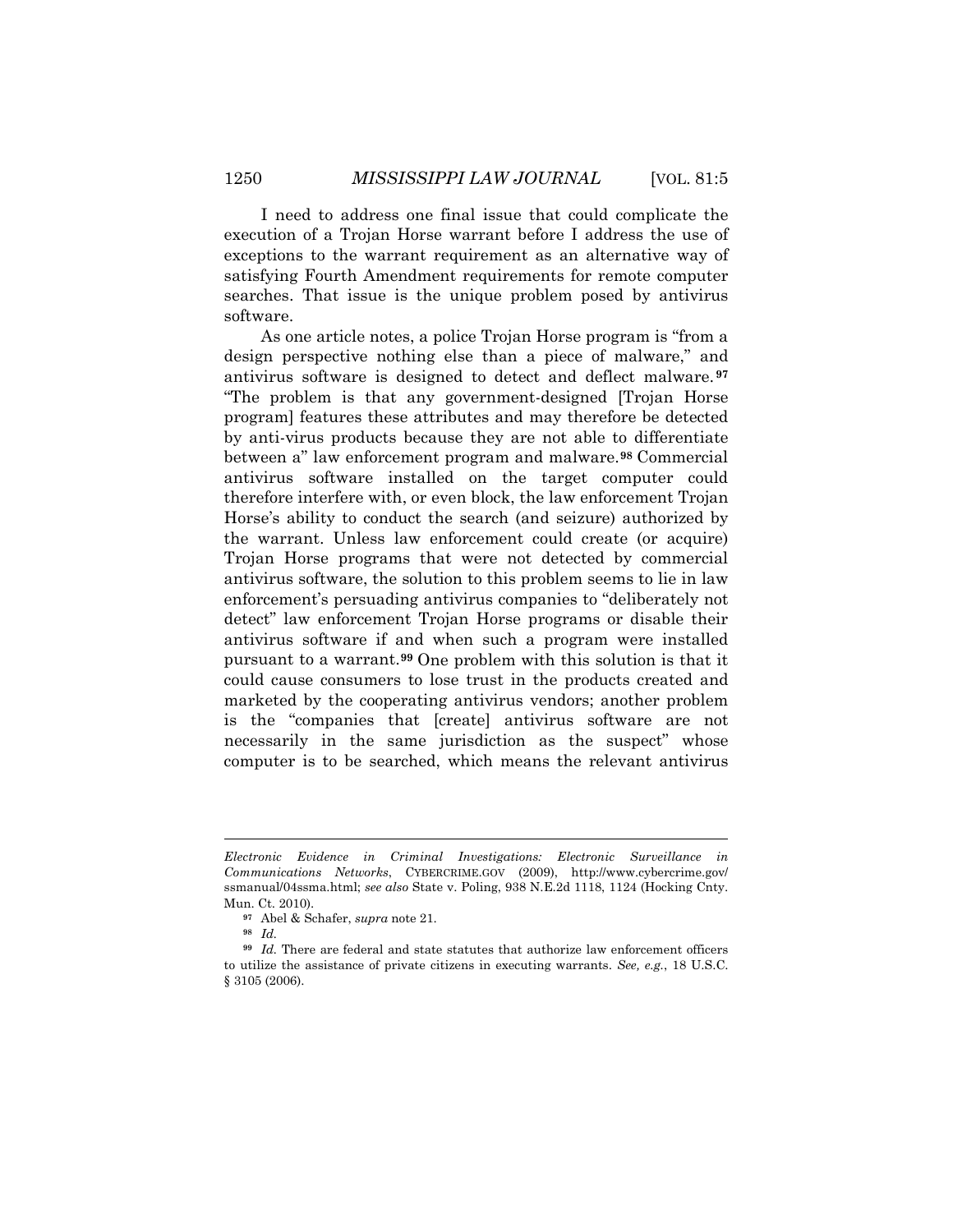I need to address one final issue that could complicate the execution of a Trojan Horse warrant before I address the use of exceptions to the warrant requirement as an alternative way of satisfying Fourth Amendment requirements for remote computer searches. That issue is the unique problem posed by antivirus software.

As one article notes, a police Trojan Horse program is "from a design perspective nothing else than a piece of malware," and antivirus software is designed to detect and deflect malware. **[97](#page-21-0)** "The problem is that any government-designed [Trojan Horse program] features these attributes and may therefore be detected by anti-virus products because they are not able to differentiate between a" law enforcement program and malware.**[98](#page-21-1)** Commercial antivirus software installed on the target computer could therefore interfere with, or even block, the law enforcement Trojan Horse's ability to conduct the search (and seizure) authorized by the warrant. Unless law enforcement could create (or acquire) Trojan Horse programs that were not detected by commercial antivirus software, the solution to this problem seems to lie in law enforcement's persuading antivirus companies to "deliberately not detect" law enforcement Trojan Horse programs or disable their antivirus software if and when such a program were installed pursuant to a warrant.**[99](#page-21-2)** One problem with this solution is that it could cause consumers to lose trust in the products created and marketed by the cooperating antivirus vendors; another problem is the "companies that [create] antivirus software are not necessarily in the same jurisdiction as the suspect" whose computer is to be searched, which means the relevant antivirus

*Electronic Evidence in Criminal Investigations: Electronic Surveillance in Communications Networks*, CYBERCRIME.GOV (2009), http://www.cybercrime.gov/ ssmanual/04ssma.html; *see also* State v. Poling, 938 N.E.2d 1118, 1124 (Hocking Cnty. Mun. Ct. 2010).

**<sup>97</sup>** Abel & Schafer, *supra* note 21.

**<sup>98</sup>** *Id.*

<span id="page-21-2"></span><span id="page-21-1"></span><span id="page-21-0"></span>**<sup>99</sup>** *Id.* There are federal and state statutes that authorize law enforcement officers to utilize the assistance of private citizens in executing warrants. *See, e.g.*, 18 U.S.C. § 3105 (2006).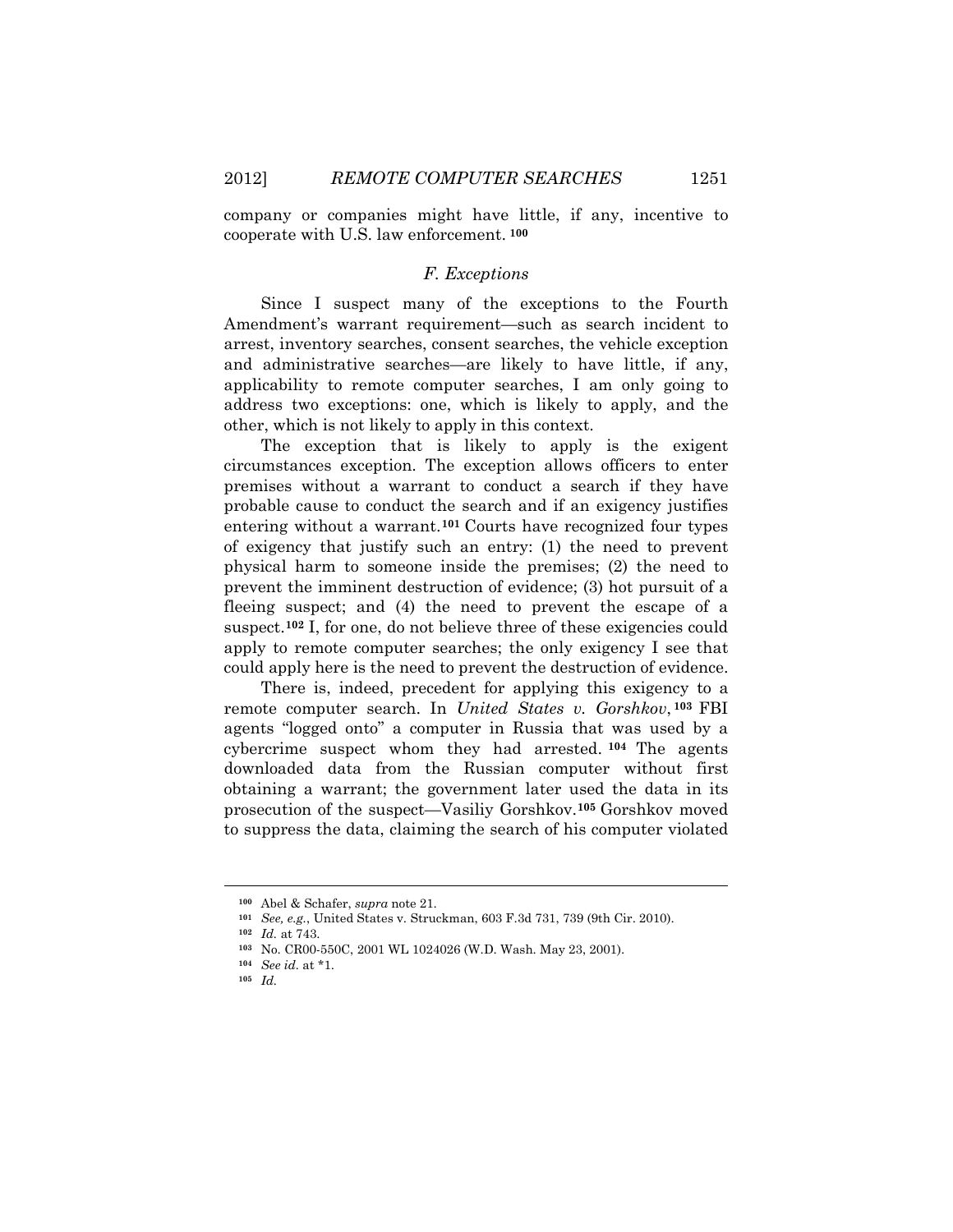company or companies might have little, if any, incentive to cooperate with U.S. law enforcement. **[100](#page-22-0)**

## *F. Exceptions*

Since I suspect many of the exceptions to the Fourth Amendment's warrant requirement—such as search incident to arrest, inventory searches, consent searches, the vehicle exception and administrative searches—are likely to have little, if any, applicability to remote computer searches, I am only going to address two exceptions: one, which is likely to apply, and the other, which is not likely to apply in this context.

The exception that is likely to apply is the exigent circumstances exception. The exception allows officers to enter premises without a warrant to conduct a search if they have probable cause to conduct the search and if an exigency justifies entering without a warrant.**[101](#page-22-1)** Courts have recognized four types of exigency that justify such an entry: (1) the need to prevent physical harm to someone inside the premises; (2) the need to prevent the imminent destruction of evidence; (3) hot pursuit of a fleeing suspect; and (4) the need to prevent the escape of a suspect.<sup>[102](#page-22-2)</sup> I, for one, do not believe three of these exigencies could apply to remote computer searches; the only exigency I see that could apply here is the need to prevent the destruction of evidence.

There is, indeed, precedent for applying this exigency to a remote computer search. In *United States v. Gorshkov*, **[103](#page-22-3)** FBI agents "logged onto" a computer in Russia that was used by a cybercrime suspect whom they had arrested. **[104](#page-22-4)** The agents downloaded data from the Russian computer without first obtaining a warrant; the government later used the data in its prosecution of the suspect—Vasiliy Gorshkov.**[105](#page-22-5)** Gorshkov moved to suppress the data, claiming the search of his computer violated

<span id="page-22-1"></span><span id="page-22-0"></span>**<sup>100</sup>** Abel & Schafer, *supra* note 21.

**<sup>101</sup>** *See, e.g.*, United States v. Struckman, 603 F.3d 731, 739 (9th Cir. 2010).

**<sup>102</sup>** *Id.* at 743.

<span id="page-22-5"></span><span id="page-22-4"></span><span id="page-22-3"></span><span id="page-22-2"></span>**<sup>103</sup>** No. CR00-550C, 2001 WL 1024026 (W.D. Wash. May 23, 2001).

**<sup>104</sup>** *See id.* at \*1.

**<sup>105</sup>** *Id.*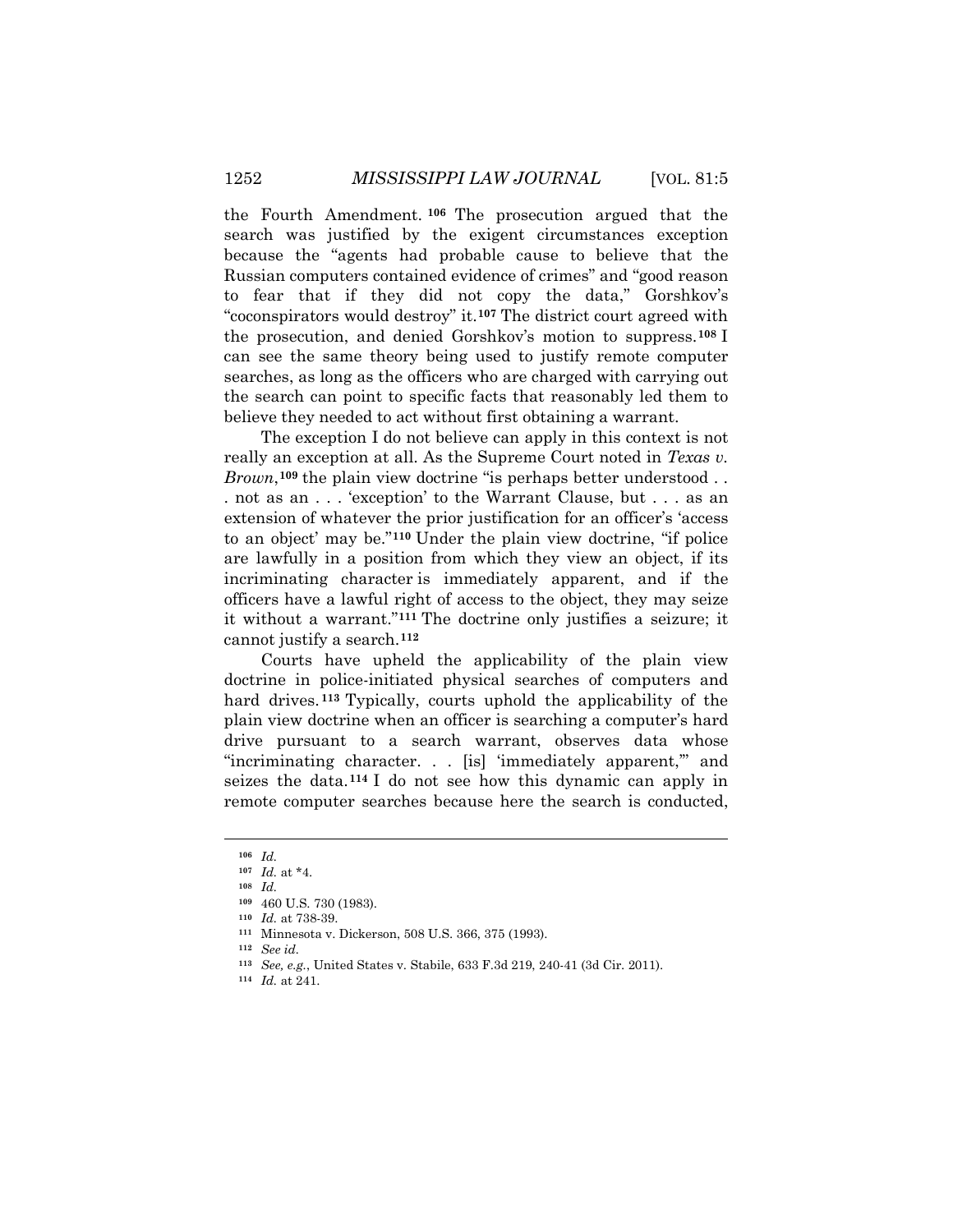the Fourth Amendment. **[106](#page-23-0)** The prosecution argued that the search was justified by the exigent circumstances exception because the "agents had probable cause to believe that the Russian computers contained evidence of crimes" and "good reason to fear that if they did not copy the data," Gorshkov's "coconspirators would destroy" it.**[107](#page-23-1)** The district court agreed with the prosecution, and denied Gorshkov's motion to suppress.**[108](#page-23-2)** I can see the same theory being used to justify remote computer searches, as long as the officers who are charged with carrying out the search can point to specific facts that reasonably led them to believe they needed to act without first obtaining a warrant.

The exception I do not believe can apply in this context is not really an exception at all. As the Supreme Court noted in *Texas v. Brown*, **[109](#page-23-3)** the plain view doctrine "is perhaps better understood . . . not as an . . . 'exception' to the Warrant Clause, but . . . as an extension of whatever the prior justification for an officer's 'access to an object' may be."**[110](#page-23-4)** Under the plain view doctrine, "if police are lawfully in a position from which they view an object, if its incriminating character is immediately apparent, and if the officers have a lawful right of access to the object, they may seize it without a warrant."**[111](#page-23-5)** The doctrine only justifies a seizure; it cannot justify a search.**[112](#page-23-6)**

Courts have upheld the applicability of the plain view doctrine in police-initiated physical searches of computers and hard drives. **[113](#page-23-7)** Typically, courts uphold the applicability of the plain view doctrine when an officer is searching a computer's hard drive pursuant to a search warrant, observes data whose "incriminating character. . . [is] 'immediately apparent," and seizes the data.**[114](#page-23-8)** I do not see how this dynamic can apply in remote computer searches because here the search is conducted,

<span id="page-23-1"></span><span id="page-23-0"></span>**<sup>106</sup>** *Id.*

**<sup>107</sup>** *Id.* at \*4.

<span id="page-23-2"></span>**<sup>108</sup>** *Id.*

**<sup>109</sup>** 460 U.S. 730 (1983).

<span id="page-23-4"></span><span id="page-23-3"></span>**<sup>110</sup>** *Id.* at 738-39.

<span id="page-23-6"></span><span id="page-23-5"></span>**<sup>111</sup>** Minnesota v. Dickerson, 508 U.S. 366, 375 (1993).

**<sup>112</sup>** *See id.*

<span id="page-23-7"></span>**<sup>113</sup>** *See, e.g.*, United States v. Stabile, 633 F.3d 219, 240-41 (3d Cir. 2011).

<span id="page-23-8"></span>**<sup>114</sup>** *Id.* at 241.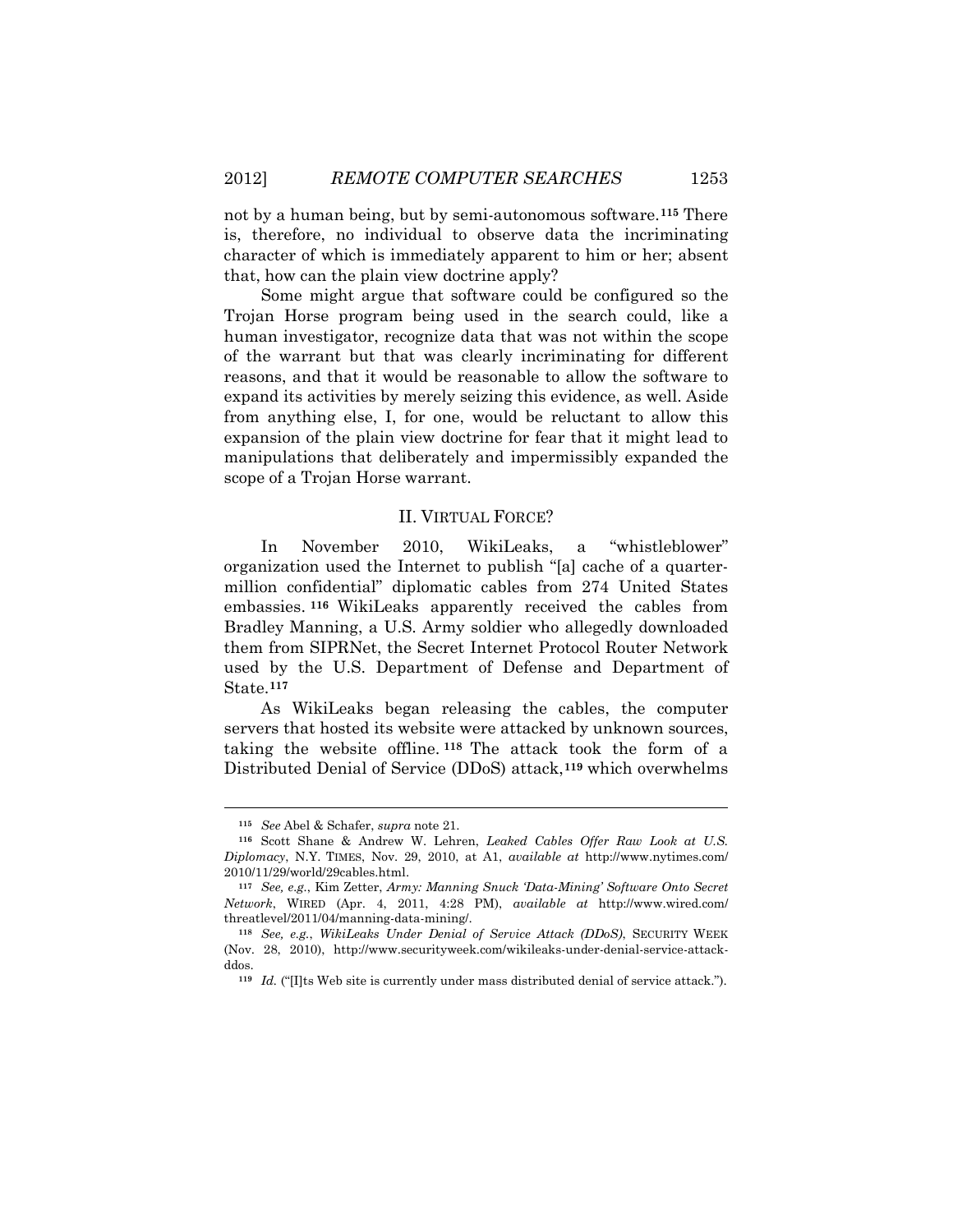not by a human being, but by semi-autonomous software.**[115](#page-24-0)** There is, therefore, no individual to observe data the incriminating character of which is immediately apparent to him or her; absent that, how can the plain view doctrine apply?

Some might argue that software could be configured so the Trojan Horse program being used in the search could, like a human investigator, recognize data that was not within the scope of the warrant but that was clearly incriminating for different reasons, and that it would be reasonable to allow the software to expand its activities by merely seizing this evidence, as well. Aside from anything else, I, for one, would be reluctant to allow this expansion of the plain view doctrine for fear that it might lead to manipulations that deliberately and impermissibly expanded the scope of a Trojan Horse warrant.

### II. VIRTUAL FORCE?

In November 2010, WikiLeaks, a "whistleblower" organization used the Internet to publish "[a] cache of a quartermillion confidential" diplomatic cables from 274 United States embassies. **[116](#page-24-1)** WikiLeaks apparently received the cables from Bradley Manning, a U.S. Army soldier who allegedly downloaded them from SIPRNet, the Secret Internet Protocol Router Network used by the U.S. Department of Defense and Department of State.**[117](#page-24-2)**

As WikiLeaks began releasing the cables, the computer servers that hosted its website were attacked by unknown sources, taking the website offline. **[118](#page-24-3)** The attack took the form of a Distributed Denial of Service (DDoS) attack,**[119](#page-24-4)** which overwhelms

 $\ddot{\phantom{a}}$ 

**<sup>115</sup>** *See* Abel & Schafer, *supra* note 21.

<span id="page-24-1"></span><span id="page-24-0"></span>**<sup>116</sup>** Scott Shane & Andrew W. Lehren, *Leaked Cables Offer Raw Look at U.S. Diplomacy*, N.Y. TIMES, Nov. 29, 2010, at A1, *available at* http://www.nytimes.com/ 2010/11/29/world/29cables.html.

<span id="page-24-2"></span>**<sup>117</sup>** *See, e.g.*, Kim Zetter, *Army: Manning Snuck 'Data-Mining' Software Onto Secret Network*, WIRED (Apr. 4, 2011, 4:28 PM), *available at* http://www.wired.com/ threatlevel/2011/04/manning-data-mining/.

<span id="page-24-4"></span><span id="page-24-3"></span>**<sup>118</sup>** *See, e.g.*, *WikiLeaks Under Denial of Service Attack (DDoS)*, SECURITY WEEK (Nov. 28, 2010), http://www.securityweek.com/wikileaks-under-denial-service-attackddos.

**<sup>119</sup>** *Id.* ("[I]ts Web site is currently under mass distributed denial of service attack.").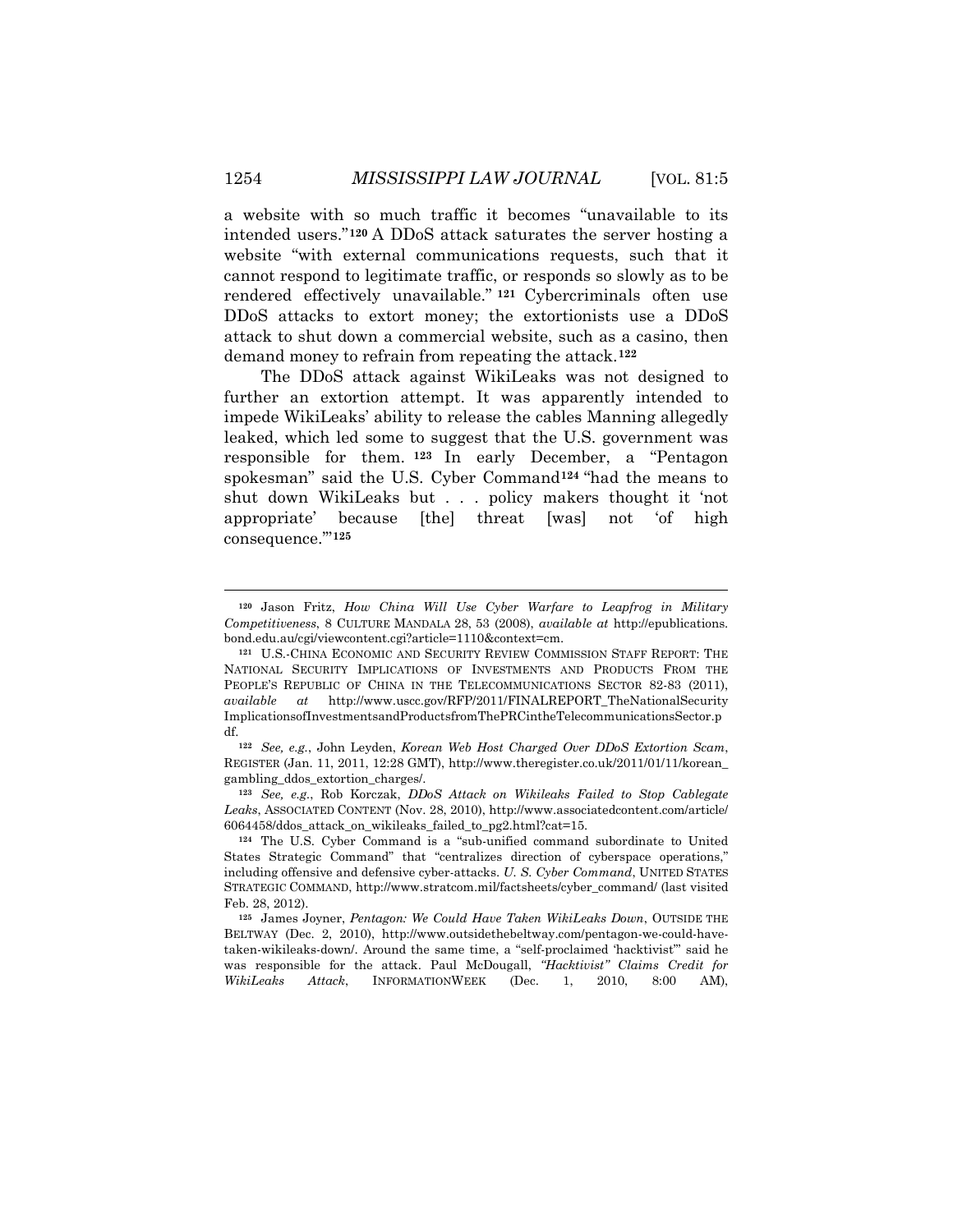a website with so much traffic it becomes "unavailable to its intended users."**[120](#page-25-0)** A DDoS attack saturates the server hosting a website "with external communications requests, such that it cannot respond to legitimate traffic, or responds so slowly as to be rendered effectively unavailable." **[121](#page-25-1)** Cybercriminals often use DDoS attacks to extort money; the extortionists use a DDoS attack to shut down a commercial website, such as a casino, then demand money to refrain from repeating the attack.**[122](#page-25-2)**

The DDoS attack against WikiLeaks was not designed to further an extortion attempt. It was apparently intended to impede WikiLeaks' ability to release the cables Manning allegedly leaked, which led some to suggest that the U.S. government was responsible for them. **[123](#page-25-3)** In early December, a "Pentagon spokesman" said the U.S. Cyber Command**[124](#page-25-4)** "had the means to shut down WikiLeaks but . . . policy makers thought it 'not appropriate' because [the] threat [was] not 'of high consequence.'"**[125](#page-25-5)**

<span id="page-25-3"></span>**<sup>123</sup>** *See, e.g.*, Rob Korczak, *DDoS Attack on Wikileaks Failed to Stop Cablegate Leaks*, ASSOCIATED CONTENT (Nov. 28, 2010), http://www.associatedcontent.com/article/ 6064458/ddos\_attack\_on\_wikileaks\_failed\_to\_pg2.html?cat=15.

<span id="page-25-0"></span>**<sup>120</sup>** Jason Fritz, *How China Will Use Cyber Warfare to Leapfrog in Military Competitiveness*, 8 CULTURE MANDALA 28, 53 (2008), *available at* http://epublications. bond.edu.au/cgi/viewcontent.cgi?article=1110&context=cm.

<span id="page-25-1"></span>**<sup>121</sup>** U.S.-CHINA ECONOMIC AND SECURITY REVIEW COMMISSION STAFF REPORT: THE NATIONAL SECURITY IMPLICATIONS OF INVESTMENTS AND PRODUCTS FROM THE PEOPLE'S REPUBLIC OF CHINA IN THE TELECOMMUNICATIONS SECTOR 82-83 (2011), *available at* http://www.uscc.gov/RFP/2011/FINALREPORT\_TheNationalSecurity ImplicationsofInvestmentsandProductsfromThePRCintheTelecommunicationsSector.p df.

<span id="page-25-2"></span>**<sup>122</sup>** *See, e.g.*, John Leyden, *Korean Web Host Charged Over DDoS Extortion Scam*, REGISTER (Jan. 11, 2011, 12:28 GMT), http://www.theregister.co.uk/2011/01/11/korean\_ gambling\_ddos\_extortion\_charges/.

<span id="page-25-4"></span>**<sup>124</sup>** The U.S. Cyber Command is a "sub-unified command subordinate to United States Strategic Command" that "centralizes direction of cyberspace operations," including offensive and defensive cyber-attacks. *U. S. Cyber Command*, UNITED STATES STRATEGIC COMMAND, http://www.stratcom.mil/factsheets/cyber\_command/ (last visited Feb. 28, 2012).

<span id="page-25-5"></span>**<sup>125</sup>** James Joyner, *Pentagon: We Could Have Taken WikiLeaks Down*, OUTSIDE THE BELTWAY (Dec. 2, 2010), http://www.outsidethebeltway.com/pentagon-we-could-havetaken-wikileaks-down/. Around the same time, a "self-proclaimed 'hacktivist'" said he was responsible for the attack. Paul McDougall, *"Hacktivist" Claims Credit for WikiLeaks Attack*, INFORMATIONWEEK (Dec. 1, 2010, 8:00 AM),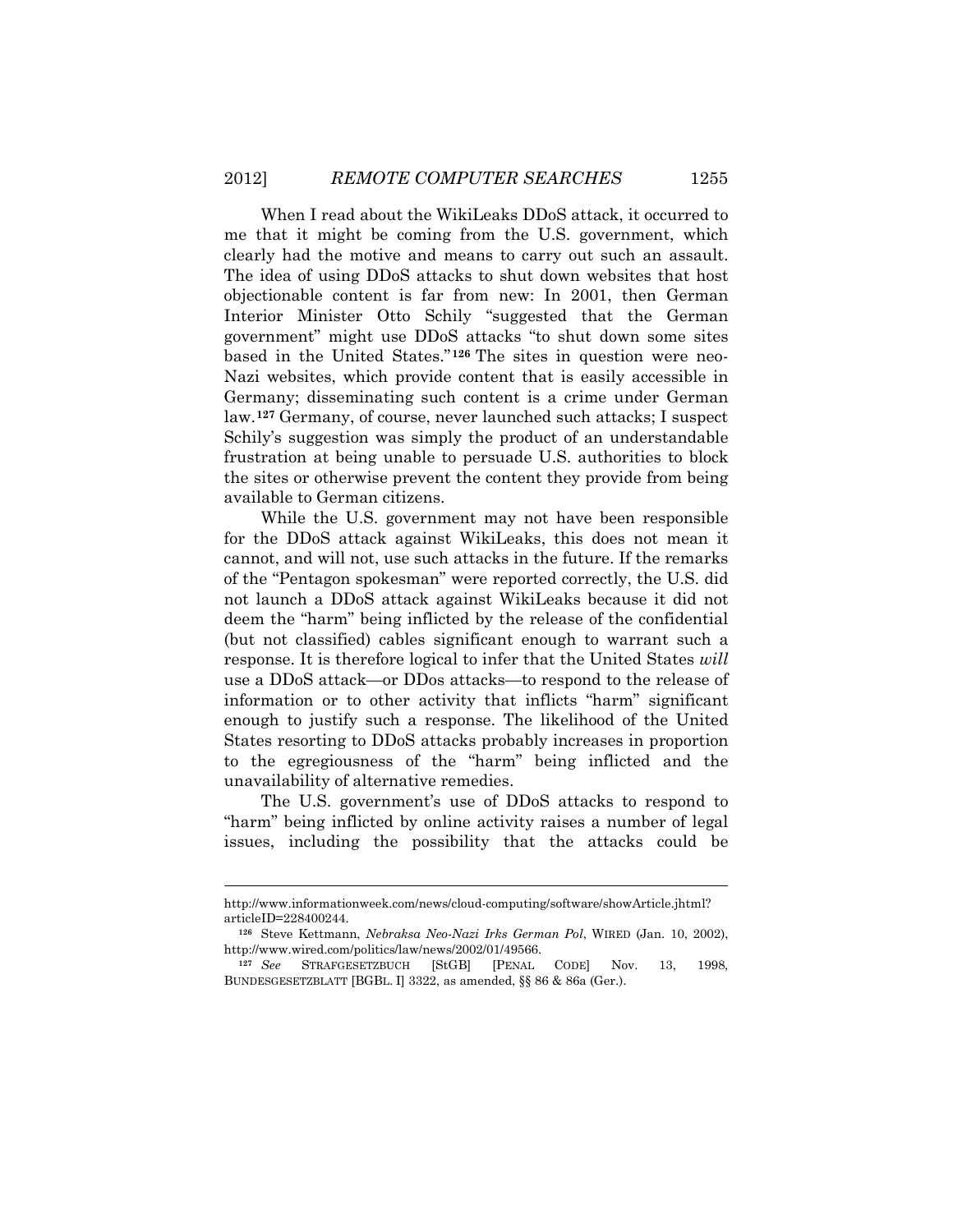When I read about the WikiLeaks DDoS attack, it occurred to me that it might be coming from the U.S. government, which clearly had the motive and means to carry out such an assault. The idea of using DDoS attacks to shut down websites that host objectionable content is far from new: In 2001, then German Interior Minister Otto Schily "suggested that the German government" might use DDoS attacks "to shut down some sites based in the United States."**[126](#page-26-0)** The sites in question were neo-Nazi websites, which provide content that is easily accessible in Germany; disseminating such content is a crime under German law.**[127](#page-26-1)** Germany, of course, never launched such attacks; I suspect Schily's suggestion was simply the product of an understandable frustration at being unable to persuade U.S. authorities to block the sites or otherwise prevent the content they provide from being available to German citizens.

While the U.S. government may not have been responsible for the DDoS attack against WikiLeaks, this does not mean it cannot, and will not, use such attacks in the future. If the remarks of the "Pentagon spokesman" were reported correctly, the U.S. did not launch a DDoS attack against WikiLeaks because it did not deem the "harm" being inflicted by the release of the confidential (but not classified) cables significant enough to warrant such a response. It is therefore logical to infer that the United States *will* use a DDoS attack—or DDos attacks—to respond to the release of information or to other activity that inflicts "harm" significant enough to justify such a response. The likelihood of the United States resorting to DDoS attacks probably increases in proportion to the egregiousness of the "harm" being inflicted and the unavailability of alternative remedies.

The U.S. government's use of DDoS attacks to respond to "harm" being inflicted by online activity raises a number of legal issues, including the possibility that the attacks could be

http://www.informationweek.com/news/cloud-computing/software/showArticle.jhtml? articleID=228400244.

<span id="page-26-0"></span>**<sup>126</sup>** Steve Kettmann, *Nebraksa Neo-Nazi Irks German Pol*, WIRED (Jan. 10, 2002), http://www.wired.com/politics/law/news/2002/01/49566.

<span id="page-26-1"></span>**<sup>127</sup>** *See* STRAFGESETZBUCH [StGB] [PENAL CODE] Nov. 13, 1998, BUNDESGESETZBLATT [BGBL. I] 3322, as amended, §§ 86 & 86a (Ger.).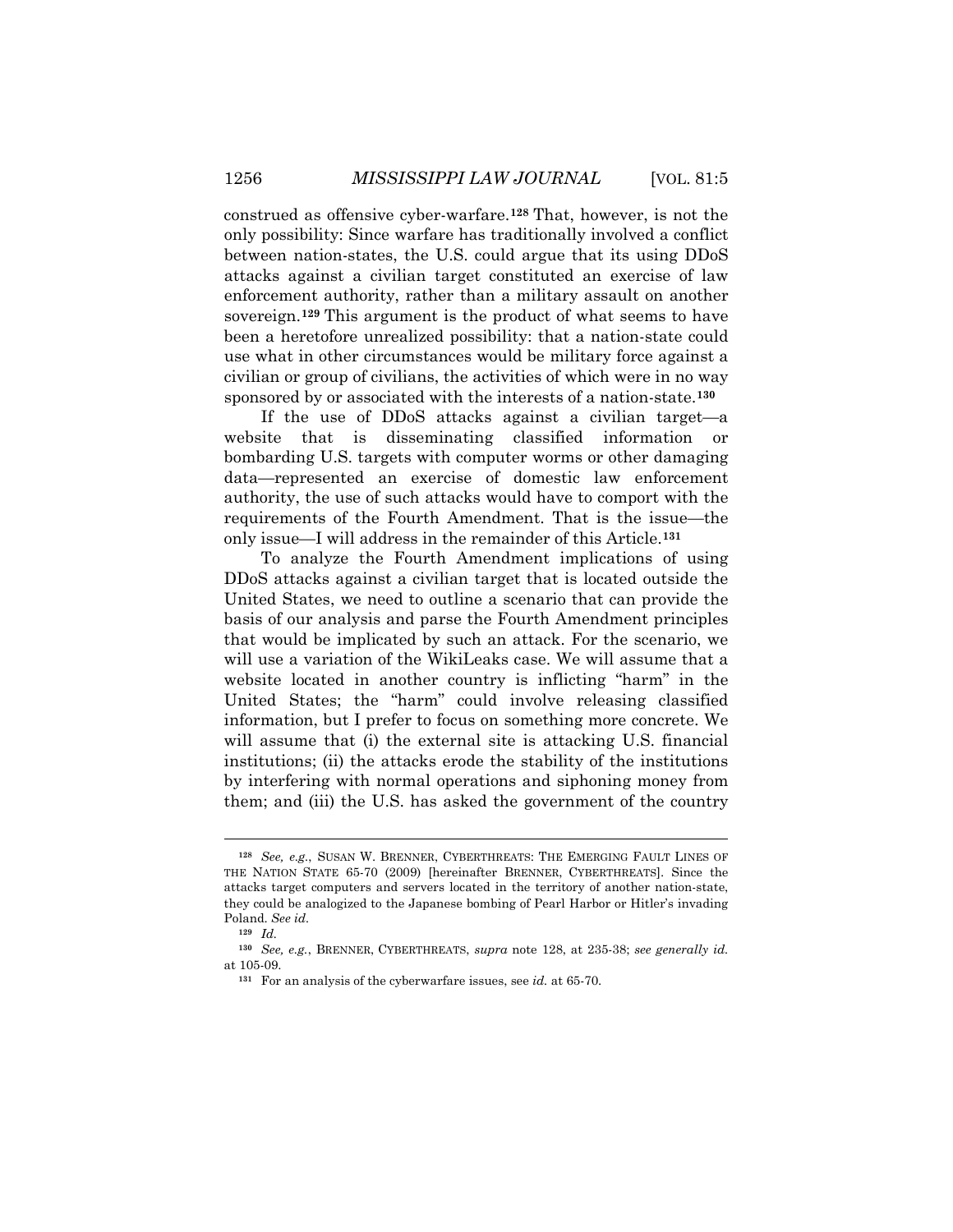construed as offensive cyber-warfare.**[128](#page-27-0)** That, however, is not the only possibility: Since warfare has traditionally involved a conflict between nation-states, the U.S. could argue that its using DDoS attacks against a civilian target constituted an exercise of law enforcement authority, rather than a military assault on another sovereign.**[129](#page-27-1)** This argument is the product of what seems to have been a heretofore unrealized possibility: that a nation-state could use what in other circumstances would be military force against a civilian or group of civilians, the activities of which were in no way sponsored by or associated with the interests of a nation-state.**[130](#page-27-2)**

If the use of DDoS attacks against a civilian target—a website that is disseminating classified information or bombarding U.S. targets with computer worms or other damaging data—represented an exercise of domestic law enforcement authority, the use of such attacks would have to comport with the requirements of the Fourth Amendment. That is the issue—the only issue—I will address in the remainder of this Article.**[131](#page-27-3)**

To analyze the Fourth Amendment implications of using DDoS attacks against a civilian target that is located outside the United States, we need to outline a scenario that can provide the basis of our analysis and parse the Fourth Amendment principles that would be implicated by such an attack. For the scenario, we will use a variation of the WikiLeaks case. We will assume that a website located in another country is inflicting "harm" in the United States; the "harm" could involve releasing classified information, but I prefer to focus on something more concrete. We will assume that (i) the external site is attacking U.S. financial institutions; (ii) the attacks erode the stability of the institutions by interfering with normal operations and siphoning money from them; and (iii) the U.S. has asked the government of the country

<span id="page-27-0"></span>**<sup>128</sup>** *See, e.g.*, SUSAN W. BRENNER, CYBERTHREATS: THE EMERGING FAULT LINES OF THE NATION STATE 65-70 (2009) [hereinafter BRENNER, CYBERTHREATS]. Since the attacks target computers and servers located in the territory of another nation-state, they could be analogized to the Japanese bombing of Pearl Harbor or Hitler's invading Poland. *See id.*

**<sup>129</sup>** *Id.*

<span id="page-27-3"></span><span id="page-27-2"></span><span id="page-27-1"></span>**<sup>130</sup>** *See, e.g.*, BRENNER, CYBERTHREATS, *supra* note 128, at 235-38; *see generally id.* at 105-09.

**<sup>131</sup>** For an analysis of the cyberwarfare issues, see *id.* at 65-70.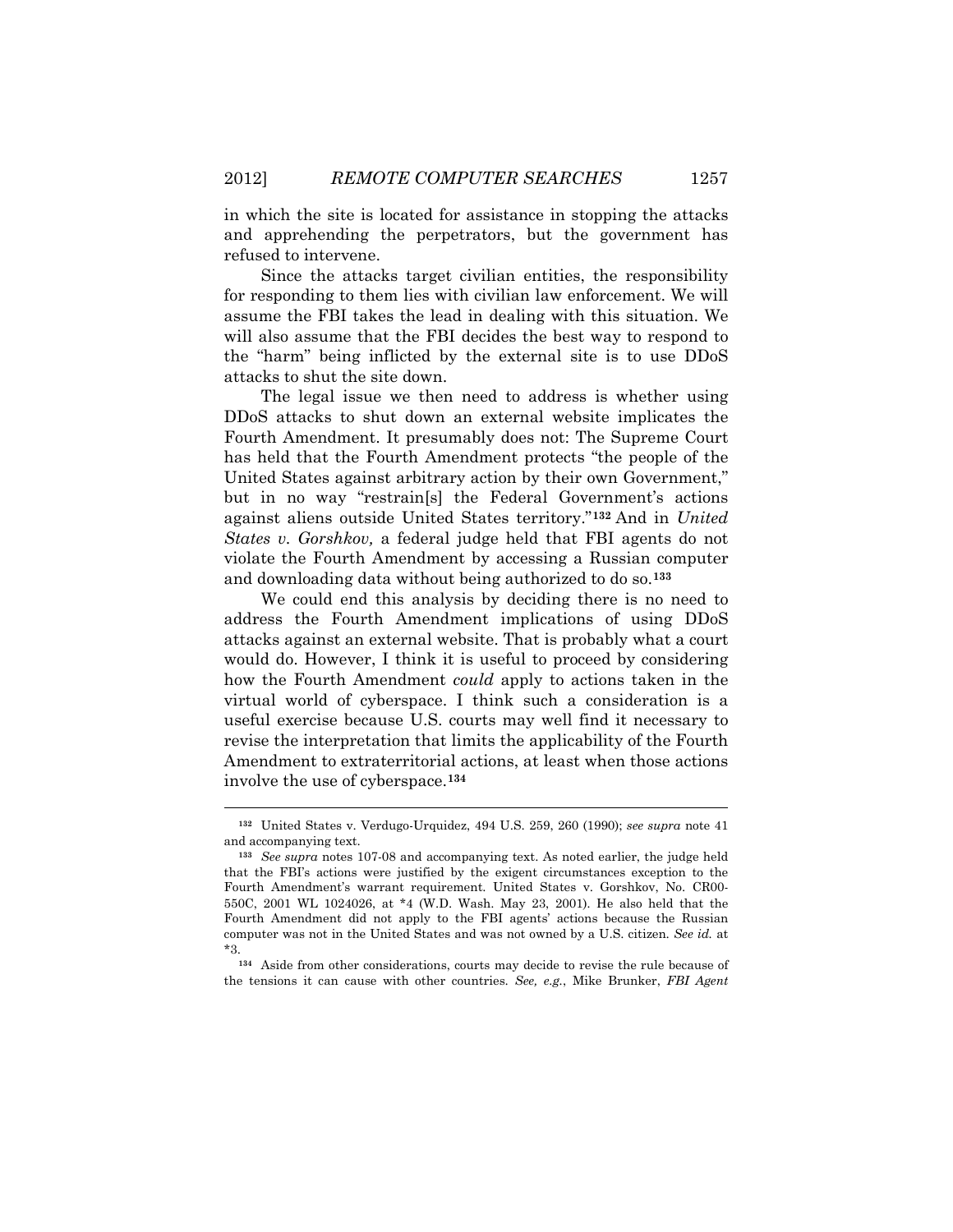in which the site is located for assistance in stopping the attacks and apprehending the perpetrators, but the government has refused to intervene.

Since the attacks target civilian entities, the responsibility for responding to them lies with civilian law enforcement. We will assume the FBI takes the lead in dealing with this situation. We will also assume that the FBI decides the best way to respond to the "harm" being inflicted by the external site is to use DDoS attacks to shut the site down.

The legal issue we then need to address is whether using DDoS attacks to shut down an external website implicates the Fourth Amendment. It presumably does not: The Supreme Court has held that the Fourth Amendment protects "the people of the United States against arbitrary action by their own Government," but in no way "restrain[s] the Federal Government's actions against aliens outside United States territory."**[132](#page-28-0)** And in *United States v. Gorshkov,* a federal judge held that FBI agents do not violate the Fourth Amendment by accessing a Russian computer and downloading data without being authorized to do so.**[133](#page-28-1)**

We could end this analysis by deciding there is no need to address the Fourth Amendment implications of using DDoS attacks against an external website. That is probably what a court would do. However, I think it is useful to proceed by considering how the Fourth Amendment *could* apply to actions taken in the virtual world of cyberspace. I think such a consideration is a useful exercise because U.S. courts may well find it necessary to revise the interpretation that limits the applicability of the Fourth Amendment to extraterritorial actions, at least when those actions involve the use of cyberspace.**[134](#page-28-2)**

 $\ddot{\phantom{a}}$ 

<span id="page-28-2"></span>**<sup>134</sup>** Aside from other considerations, courts may decide to revise the rule because of the tensions it can cause with other countries. *See, e.g.*, Mike Brunker, *FBI Agent* 

<span id="page-28-0"></span>**<sup>132</sup>** United States v. Verdugo-Urquidez, 494 U.S. 259, 260 (1990); *see supra* note 41 and accompanying text.

<span id="page-28-1"></span>**<sup>133</sup>** *See supra* notes 107-08 and accompanying text. As noted earlier, the judge held that the FBI's actions were justified by the exigent circumstances exception to the Fourth Amendment's warrant requirement. United States v. Gorshkov, No. CR00- 550C, 2001 WL 1024026, at \*4 (W.D. Wash. May 23, 2001)*.* He also held that the Fourth Amendment did not apply to the FBI agents' actions because the Russian computer was not in the United States and was not owned by a U.S. citizen. *See id.* at \*3.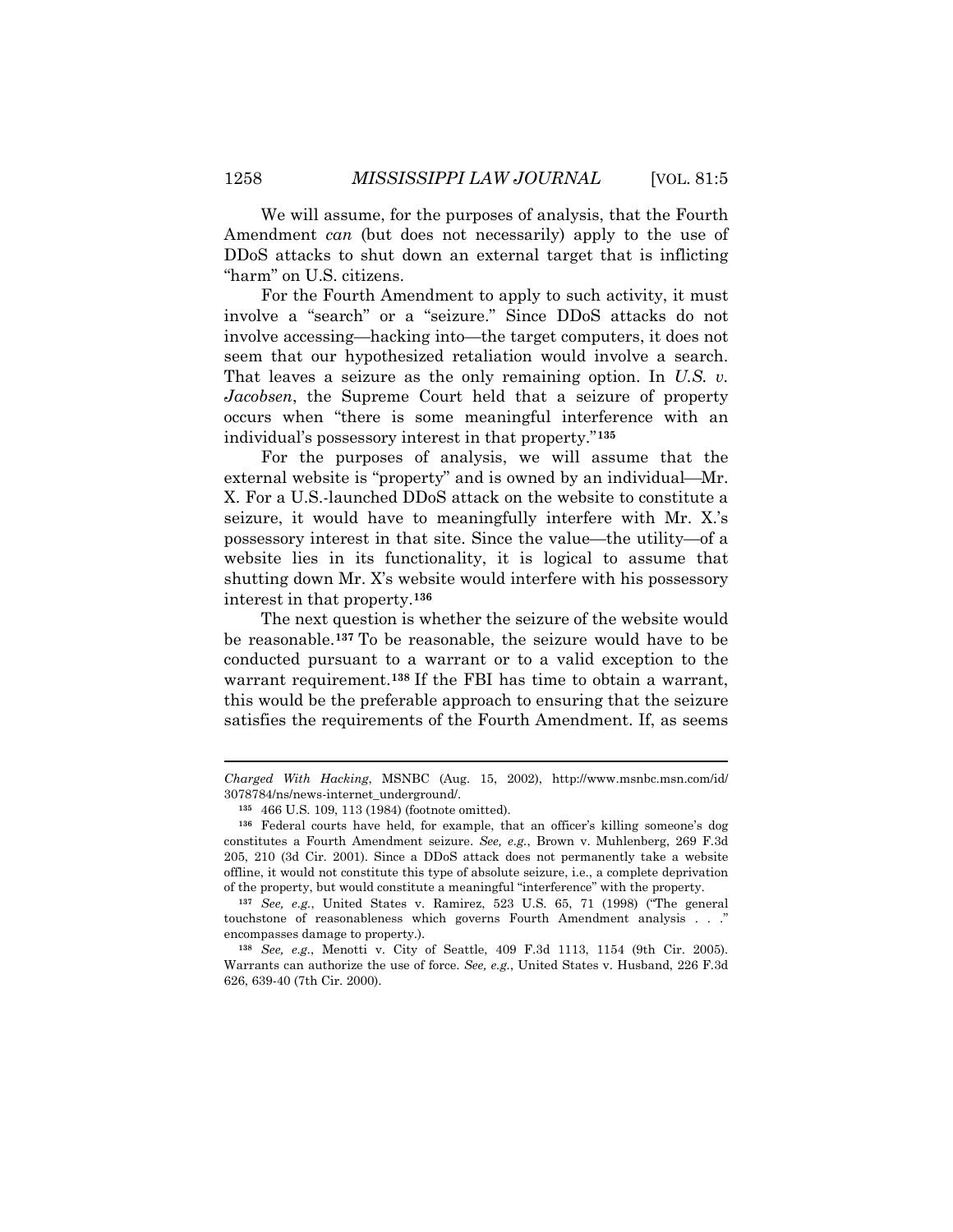We will assume, for the purposes of analysis, that the Fourth Amendment *can* (but does not necessarily) apply to the use of DDoS attacks to shut down an external target that is inflicting "harm" on U.S. citizens.

For the Fourth Amendment to apply to such activity, it must involve a "search" or a "seizure." Since DDoS attacks do not involve accessing—hacking into—the target computers, it does not seem that our hypothesized retaliation would involve a search. That leaves a seizure as the only remaining option. In *U.S. v. Jacobsen*, the Supreme Court held that a seizure of property occurs when "there is some meaningful interference with an individual's possessory interest in that property."**[135](#page-29-0)**

For the purposes of analysis, we will assume that the external website is "property" and is owned by an individual—Mr. X. For a U.S.-launched DDoS attack on the website to constitute a seizure, it would have to meaningfully interfere with Mr. X.'s possessory interest in that site. Since the value—the utility—of a website lies in its functionality, it is logical to assume that shutting down Mr. X's website would interfere with his possessory interest in that property.**[136](#page-29-1)**

The next question is whether the seizure of the website would be reasonable.**[137](#page-29-2)** To be reasonable, the seizure would have to be conducted pursuant to a warrant or to a valid exception to the warrant requirement.**[138](#page-29-3)** If the FBI has time to obtain a warrant, this would be the preferable approach to ensuring that the seizure satisfies the requirements of the Fourth Amendment. If, as seems

 $\ddot{\phantom{a}}$ 

*Charged With Hacking*, MSNBC (Aug. 15, 2002), http://www.msnbc.msn.com/id/ 3078784/ns/news-internet\_underground/.

**<sup>135</sup>** 466 U.S. 109, 113 (1984) (footnote omitted).

<span id="page-29-1"></span><span id="page-29-0"></span>**<sup>136</sup>** Federal courts have held, for example, that an officer's killing someone's dog constitutes a Fourth Amendment seizure. *See, e.g.*, Brown v. Muhlenberg, 269 F.3d 205, 210 (3d Cir. 2001). Since a DDoS attack does not permanently take a website offline, it would not constitute this type of absolute seizure, i.e., a complete deprivation of the property, but would constitute a meaningful "interference" with the property.

<span id="page-29-2"></span>**<sup>137</sup>** *See, e.g.*, United States v. Ramirez, 523 U.S. 65, 71 (1998) ("The general touchstone of reasonableness which governs Fourth Amendment analysis . . ." encompasses damage to property.).

<span id="page-29-3"></span>**<sup>138</sup>** *See, e.g.*, Menotti v. City of Seattle, 409 F.3d 1113, 1154 (9th Cir. 2005). Warrants can authorize the use of force. *See, e.g.*, United States v. Husband, 226 F.3d 626, 639-40 (7th Cir. 2000).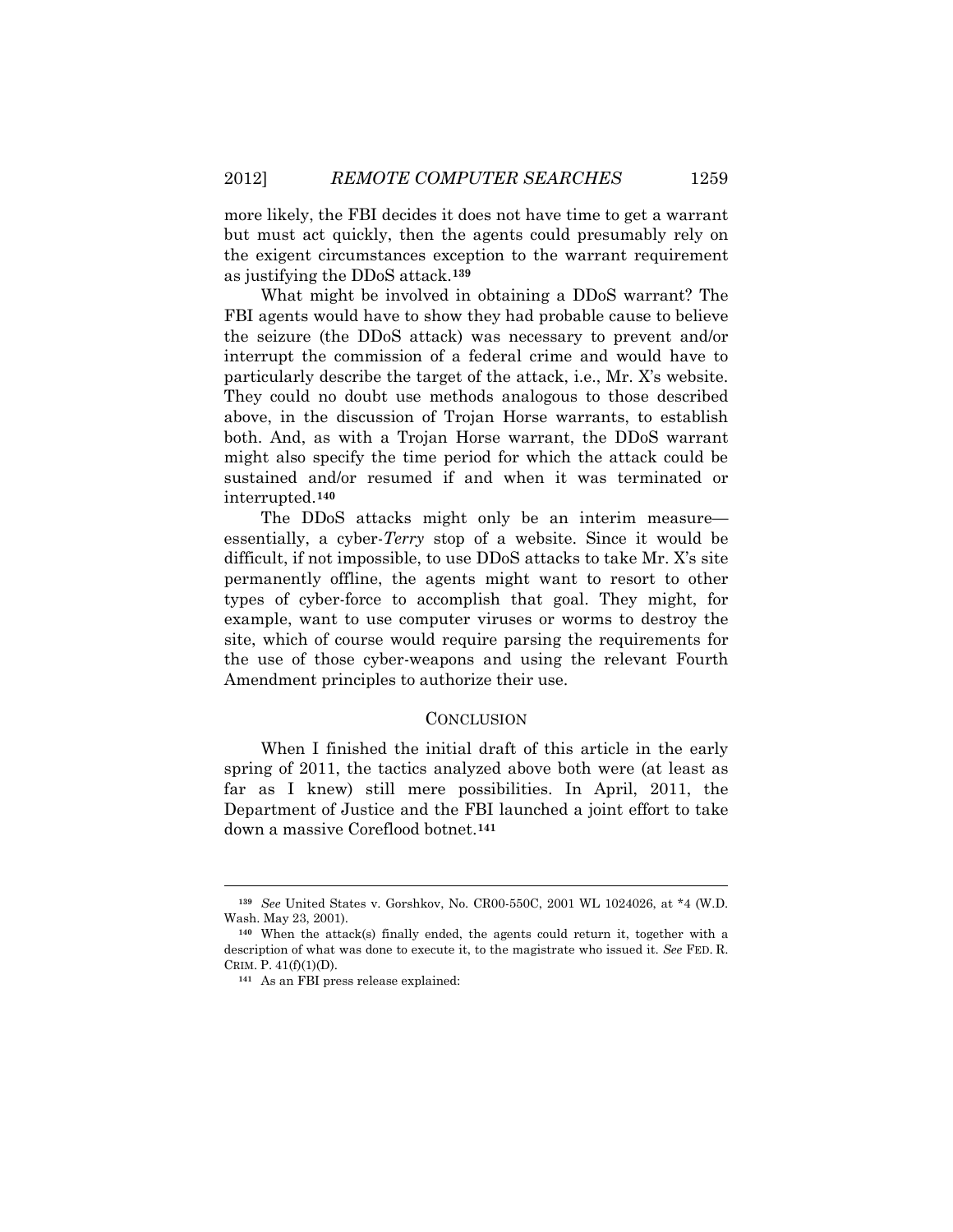more likely, the FBI decides it does not have time to get a warrant but must act quickly, then the agents could presumably rely on the exigent circumstances exception to the warrant requirement as justifying the DDoS attack.**[139](#page-30-0)**

What might be involved in obtaining a DDoS warrant? The FBI agents would have to show they had probable cause to believe the seizure (the DDoS attack) was necessary to prevent and/or interrupt the commission of a federal crime and would have to particularly describe the target of the attack, i.e., Mr. X's website. They could no doubt use methods analogous to those described above, in the discussion of Trojan Horse warrants, to establish both. And, as with a Trojan Horse warrant, the DDoS warrant might also specify the time period for which the attack could be sustained and/or resumed if and when it was terminated or interrupted.**[140](#page-30-1)**

The DDoS attacks might only be an interim measure essentially, a cyber-*Terry* stop of a website. Since it would be difficult, if not impossible, to use DDoS attacks to take Mr. X's site permanently offline, the agents might want to resort to other types of cyber-force to accomplish that goal. They might, for example, want to use computer viruses or worms to destroy the site, which of course would require parsing the requirements for the use of those cyber-weapons and using the relevant Fourth Amendment principles to authorize their use.

## **CONCLUSION**

When I finished the initial draft of this article in the early spring of 2011, the tactics analyzed above both were (at least as far as I knew) still mere possibilities. In April, 2011, the Department of Justice and the FBI launched a joint effort to take down a massive Coreflood botnet.**[141](#page-30-2)**

<span id="page-30-0"></span>**<sup>139</sup>** *See* United States v. Gorshkov, No. CR00-550C, 2001 WL 1024026, at \*4 (W.D. Wash. May 23, 2001).

<span id="page-30-2"></span><span id="page-30-1"></span>**<sup>140</sup>** When the attack(s) finally ended, the agents could return it, together with a description of what was done to execute it, to the magistrate who issued it. *See* FED. R. CRIM. P.  $41(f)(1)(D)$ .

**<sup>141</sup>** As an FBI press release explained: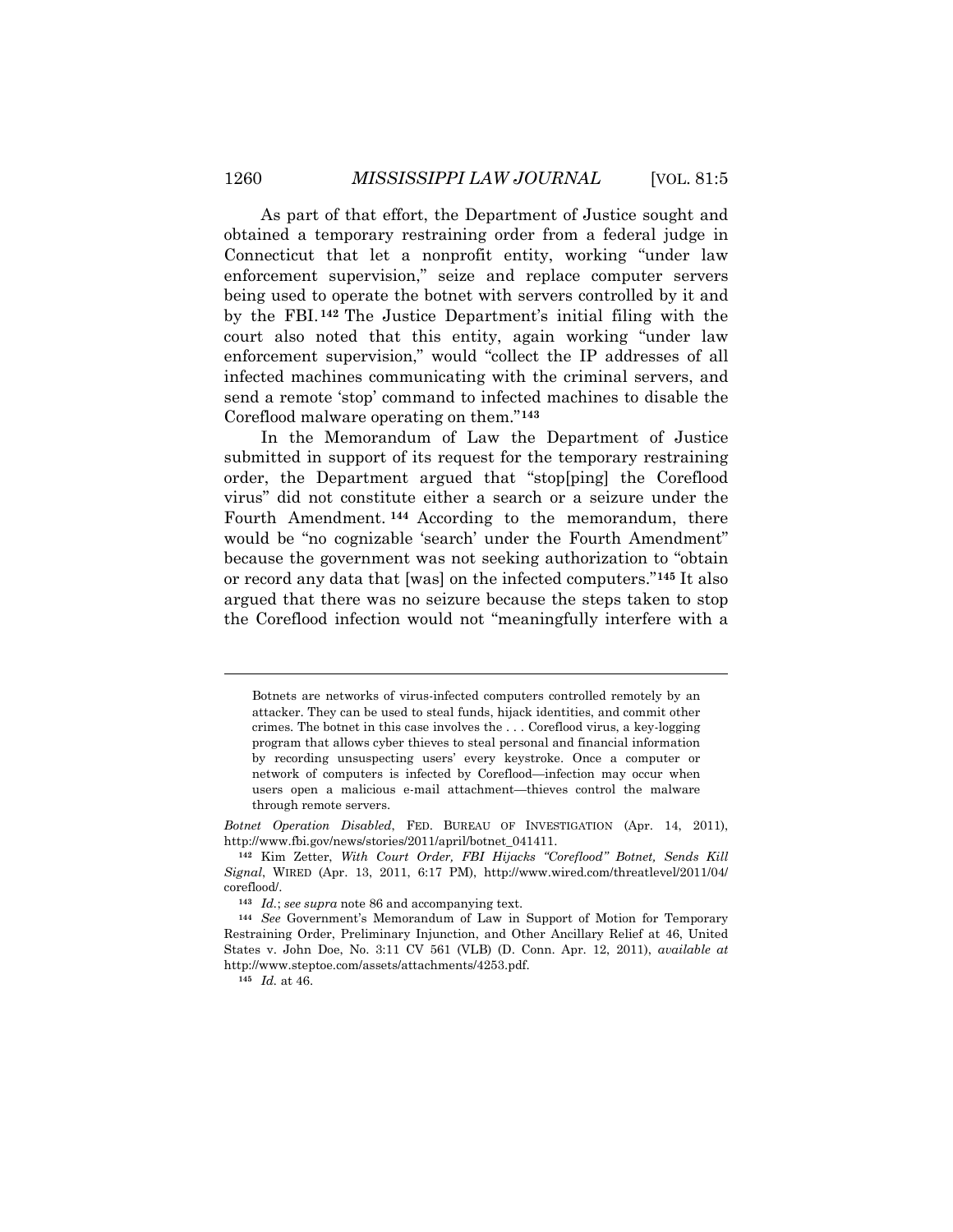As part of that effort, the Department of Justice sought and obtained a temporary restraining order from a federal judge in Connecticut that let a nonprofit entity, working "under law enforcement supervision," seize and replace computer servers being used to operate the botnet with servers controlled by it and by the FBI. **[142](#page-31-0)** The Justice Department's initial filing with the court also noted that this entity, again working "under law enforcement supervision," would "collect the IP addresses of all infected machines communicating with the criminal servers, and send a remote 'stop' command to infected machines to disable the Coreflood malware operating on them."**[143](#page-31-1)**

In the Memorandum of Law the Department of Justice submitted in support of its request for the temporary restraining order, the Department argued that "stop[ping] the Coreflood virus" did not constitute either a search or a seizure under the Fourth Amendment. **[144](#page-31-2)** According to the memorandum, there would be "no cognizable 'search' under the Fourth Amendment" because the government was not seeking authorization to "obtain or record any data that [was] on the infected computers."**[145](#page-31-3)** It also argued that there was no seizure because the steps taken to stop the Coreflood infection would not "meaningfully interfere with a

Botnets are networks of virus-infected computers controlled remotely by an attacker. They can be used to steal funds, hijack identities, and commit other crimes. The botnet in this case involves the . . . Coreflood virus, a key-logging program that allows cyber thieves to steal personal and financial information by recording unsuspecting users' every keystroke. Once a computer or network of computers is infected by Coreflood—infection may occur when users open a malicious e-mail attachment—thieves control the malware through remote servers.

*Botnet Operation Disabled*, FED. BUREAU OF INVESTIGATION (Apr. 14, 2011), http://www.fbi.gov/news/stories/2011/april/botnet\_041411.

<span id="page-31-0"></span>**<sup>142</sup>** Kim Zetter, *With Court Order, FBI Hijacks "Coreflood" Botnet, Sends Kill Signal*, WIRED (Apr. 13, 2011, 6:17 PM), http://www.wired.com/threatlevel/2011/04/ coreflood/.

**<sup>143</sup>** *Id.*; *see supra* note 86 and accompanying text.

<span id="page-31-3"></span><span id="page-31-2"></span><span id="page-31-1"></span>**<sup>144</sup>** *See* Government's Memorandum of Law in Support of Motion for Temporary Restraining Order, Preliminary Injunction, and Other Ancillary Relief at 46, United States v. John Doe, No. 3:11 CV 561 (VLB) (D. Conn. Apr. 12, 2011), *available at* http://www.steptoe.com/assets/attachments/4253.pdf.

**<sup>145</sup>** *Id.* at 46.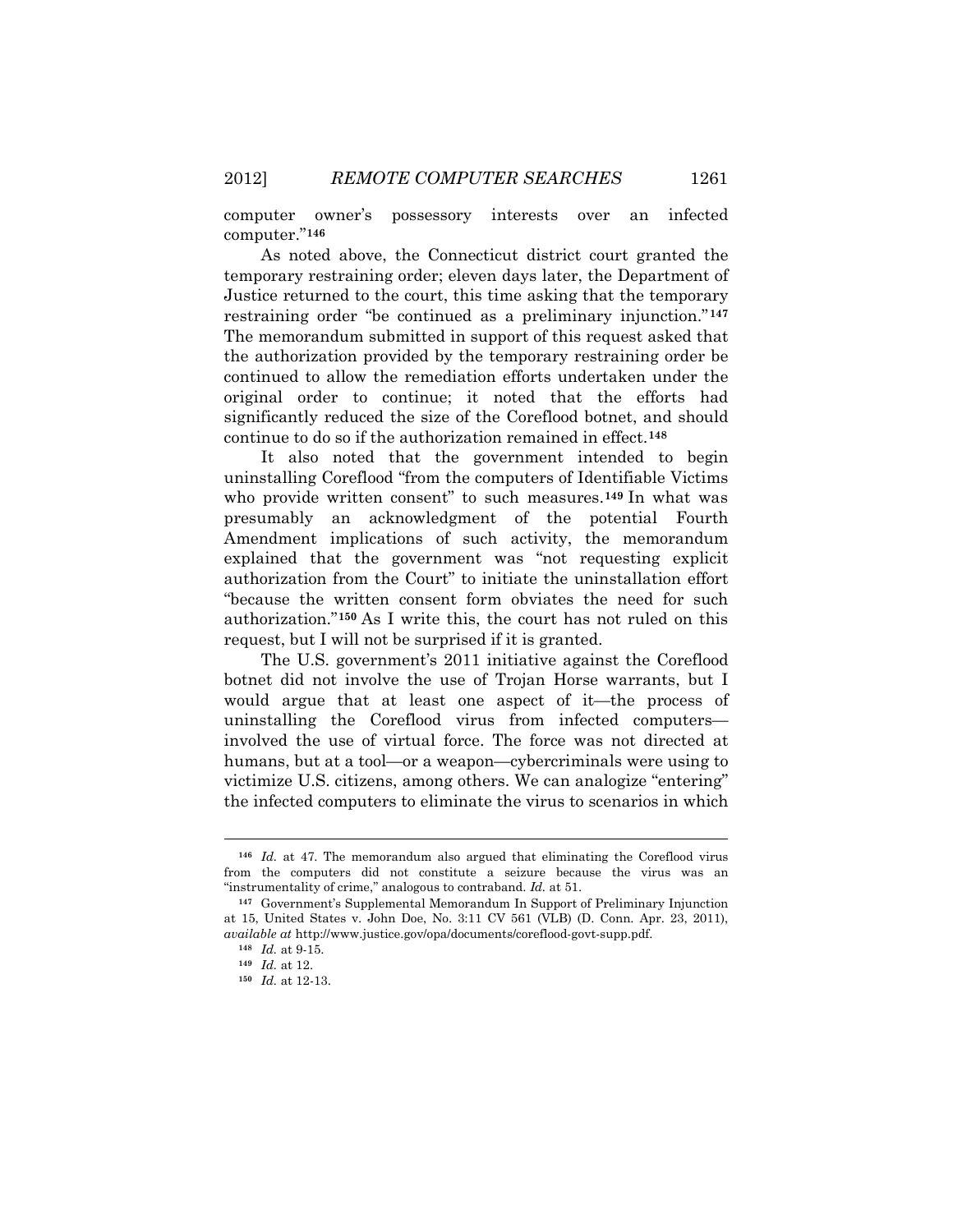computer owner's possessory interests over an infected computer."**[146](#page-32-0)**

As noted above, the Connecticut district court granted the temporary restraining order; eleven days later, the Department of Justice returned to the court, this time asking that the temporary restraining order "be continued as a preliminary injunction."**[147](#page-32-1)** The memorandum submitted in support of this request asked that the authorization provided by the temporary restraining order be continued to allow the remediation efforts undertaken under the original order to continue; it noted that the efforts had significantly reduced the size of the Coreflood botnet, and should continue to do so if the authorization remained in effect.**[148](#page-32-2)**

It also noted that the government intended to begin uninstalling Coreflood "from the computers of Identifiable Victims who provide written consent" to such measures.**[149](#page-32-3)** In what was presumably an acknowledgment of the potential Fourth Amendment implications of such activity, the memorandum explained that the government was "not requesting explicit authorization from the Court" to initiate the uninstallation effort "because the written consent form obviates the need for such authorization."**[150](#page-32-4)** As I write this, the court has not ruled on this request, but I will not be surprised if it is granted.

The U.S. government's 2011 initiative against the Coreflood botnet did not involve the use of Trojan Horse warrants, but I would argue that at least one aspect of it—the process of uninstalling the Coreflood virus from infected computers involved the use of virtual force. The force was not directed at humans, but at a tool—or a weapon—cybercriminals were using to victimize U.S. citizens, among others. We can analogize "entering" the infected computers to eliminate the virus to scenarios in which

<span id="page-32-0"></span>**<sup>146</sup>** *Id.* at 47. The memorandum also argued that eliminating the Coreflood virus from the computers did not constitute a seizure because the virus was an "instrumentality of crime," analogous to contraband. *Id.* at 51.

<span id="page-32-4"></span><span id="page-32-3"></span><span id="page-32-2"></span><span id="page-32-1"></span>**<sup>147</sup>** Government's Supplemental Memorandum In Support of Preliminary Injunction at 15, United States v. John Doe, No. 3:11 CV 561 (VLB) (D. Conn. Apr. 23, 2011), *available at* http://www.justice.gov/opa/documents/coreflood-govt-supp.pdf.

**<sup>148</sup>** *Id.* at 9-15.

**<sup>149</sup>** *Id.* at 12.

**<sup>150</sup>** *Id.* at 12-13.